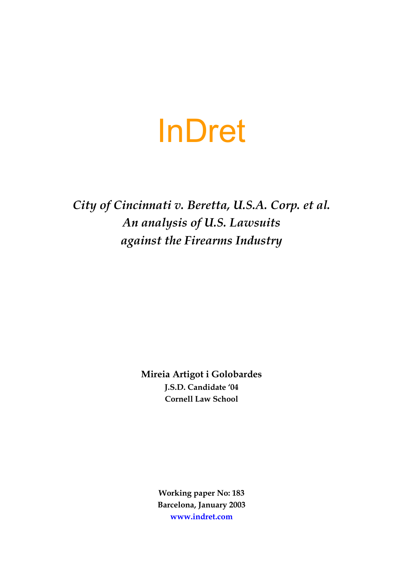# InDret

*City of Cincinnati v. Beretta, U.S.A. Corp. et al. An analysis of U.S. Lawsuits against the Firearms Industry* 

> **Mireia Artigot i Golobardes J.S.D. Candidate '04 Cornell Law School**

> > **Working paper No: 183 Barcelona, January 2003 [www.indret.com](http://www.indret.com/)**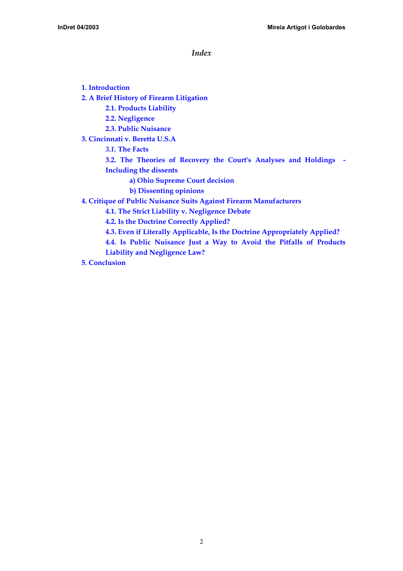*Index* 

**[1. Introduction](#page-2-0) [2. A Brief History of Firearm Litigation](#page-9-0)**

**[2.1. Products Liability](#page-5-0)**

**[2.2. Negligence](#page-9-0)**

**[2.3. Public Nuisance](#page-11-0)**

**[3. Cincinnati v. Beretta U.S.A](#page-14-0)**

*3.1.* **[The Facts](#page-15-0)** 

**[3.2. The Theories of Recovery the Court's Analyses and Holdings -](#page-16-0)  [Including the dissents](#page-16-0)**

**[a\) Ohio Supreme Court decision](#page-16-0)**

**[b\) Dissenting opinions](#page-22-0)**

**[4. Critique of Public Nuisance Suits Against Firearm Manufacturers](#page-24-0)** 

**[4.1. The Strict Liability v. Negligence Debate](#page-24-0)** 

**[4.2. Is the Doctrine Correctly Applied?](#page-26-0)** 

**[4.3. Even if Literally Applicable, Is the Doctrine Appropriately Applied?](#page-28-0)**

**[4.4. Is Public Nuisance Just a Way to Avoid the Pitfalls of Products](#page-30-0)  [Liability and Negligence Law?](#page-30-0)** 

**[5. Conclusion](#page-31-0)**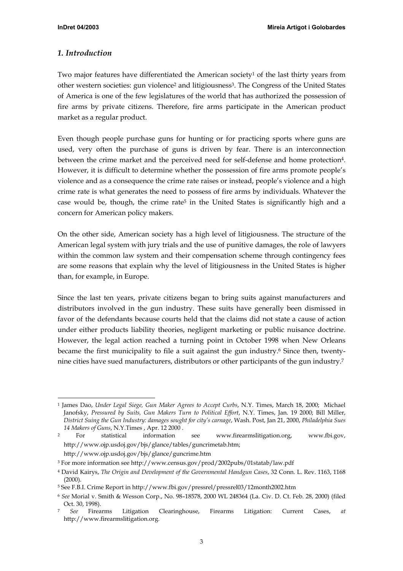## <span id="page-2-0"></span>*1. Introduction*

Two major features have differentiated the American society<sup>1</sup> of the last thirty years from other western societies: gun violence<sup>2</sup> and litigiousness<sup>3</sup>. The Congress of the United States of America is one of the few legislatures of the world that has authorized the possession of fire arms by private citizens. Therefore, fire arms participate in the American product market as a regular product.

Even though people purchase guns for hunting or for practicing sports where guns are used, very often the purchase of guns is driven by fear. There is an interconnection between the crime market and the perceived need for self-defense and home protectio[n4.](#page-2-4) However, it is difficult to determine whether the possession of fire arms promote people's violence and as a consequence the crime rate raises or instead, people's violence and a high crime rate is what generates the need to possess of fire arms by individuals. Whatever the case would be, though, the crime rate<sup>5</sup> in the United States is significantly high and a concern for American policy makers.

On the other side, American society has a high level of litigiousness. The structure of the American legal system with jury trials and the use of punitive damages, the role of lawyers within the common law system and their compensation scheme through contingency fees are some reasons that explain why the level of litigiousness in the United States is higher than, for example, in Europe.

Since the last ten years, private citizens began to bring suits against manufacturers and distributors involved in the gun industry. These suits have generally been dismissed in favor of the defendants because courts held that the claims did not state a cause of action under either products liability theories, negligent marketing or public nuisance doctrine. However, the legal action reached a turning point in October 1998 when New Orleans became the first municipality to file a suit against the gun industry.<sup>6</sup> Since then, twentynine cities have sued manufacturers, distributors or other participants of the gun industry[.7](#page-2-7)

<http://www.ojp.usdoj.gov/bjs/glance/guncrime.htm>

<span id="page-2-1"></span> <sup>1</sup> James Dao, *Under Legal Siege, Gun Maker Agrees to Accept Curbs*, N.Y. Times, March 18, 2000; Michael Janofsky, *Pressured by Suits, Gun Makers Turn to Political Effort*, N.Y. Times, Jan. 19 2000; Bill Miller, *District Suing the Gun Industry: damages sought for city's carnage*, Wash. Post, Jan 21, 2000, *Philadelphia Sues 14 Makers of Guns*, N.Y.Times , Apr. 12 2000 .

<span id="page-2-2"></span><sup>2</sup> For statistical information see [www.firearmslitigation.org,](http://www.firearmslitigation.org/) [www.fbi.gov,](http://www.fbi.gov/) [http://www.ojp.usdoj.gov/bjs/glance/tables/guncrimetab.htm;](http://www.ojp.usdoj.gov/bjs/glance/tables/guncrimetab.htm)

<span id="page-2-3"></span><sup>3</sup> For more information see http://www.c[ensus.gov/prod/2002pubs/01statab/law.pdf](http://www.census.gov/prod/2002pubs/01statab/law.pdf)

<span id="page-2-4"></span><sup>4</sup> David Kairys, *The Origin and Development of the Governmental Handgun Cases*, 32 Conn. L. Rev. 1163, 1168 (2000).

<span id="page-2-5"></span><sup>5</sup> See F.B.I. Crime Report in <http://www.fbi.gov/pressrel/pressrel03/12month2002.htm>

<span id="page-2-6"></span><sup>6</sup> *See* Morial v. Smith & Wesson Corp., No. 98–18578, 2000 WL 248364 (La. Civ. D. Ct. Feb. 28, 2000) (filed Oct. 30, 1998).

<span id="page-2-7"></span><sup>7</sup> *See* Firearms Litigation Clearinghouse, Firearms Litigation: Current Cases, *at* http://[www.firearmslitigation.org](http://www.firearmslitigation.org/).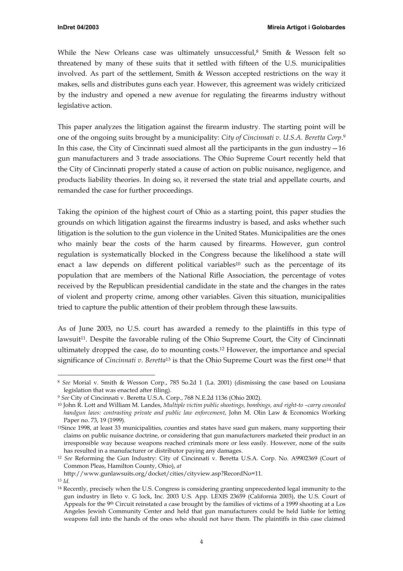<span id="page-3-6"></span>While the New Orleans case was ultimately unsuccessful, $8$  Smith & Wesson felt so threatened by many of these suits that it settled with fifteen of the U.S. municipalities involved. As part of the settlement, Smith & Wesson accepted restrictions on the way it makes, sells and distributes guns each year. However, this agreement was widely criticized by the industry and opened a new avenue for regulating the firearms industry without legislative action.

This paper analyzes the litigation against the firearm industry. The starting point will be one of the ongoing suits brought by a municipality: *City of Cincinnati v. U.S.A. Beretta Corp*[.9](#page-3-1) In this case, the City of Cincinnati sued almost all the participants in the gun industry  $-16$ gun manufacturers and 3 trade associations. The Ohio Supreme Court recently held that the City of Cincinnati properly stated a cause of action on public nuisance, negligence, and products liability theories. In doing so, it reversed the state trial and appellate courts, and remanded the case for further proceedings.

Taking the opinion of the highest court of Ohio as a starting point, this paper studies the grounds on which litigation against the firearms industry is based, and asks whether such litigation is the solution to the gun violence in the United States. Municipalities are the ones who mainly bear the costs of the harm caused by firearms. However, gun control regulation is systematically blocked in the Congress because the likelihood a state will enact a law depends on different political variables<sup>10</sup> such as the percentage of its population that are members of the National Rifle Association, the percentage of votes received by the Republican presidential candidate in the state and the changes in the rates of violent and property crime, among other variables. Given this situation, municipalities tried to capture the public attention of their problem through these lawsuits.

As of June 2003, no U.S. court has awarded a remedy to the plaintiffs in this type of lawsuit<sup>11</sup>. Despite the favorable ruling of the Ohio Supreme Court, the City of Cincinnati ultimately dropped the case, do to mounting costs[.12](#page-3-4) However, the importance and special significance of *Cincinnati v. Beretta*[13](#page-3-5) is that the Ohio Supreme Court was the first on[e14](#page-3-6) that

<span id="page-3-0"></span> <sup>8</sup> *See* Morial v. Smith & Wesson Corp., 785 So.2d 1 (La. 2001) (dismissing the case based on Lousiana legislation that was enacted after filing).

<span id="page-3-1"></span><sup>9</sup> *See* City of Cincinnati v. Beretta U.S.A. Corp., 768 N.E.2d 1136 (Ohio 2002).

<span id="page-3-2"></span><sup>10</sup> John R. Lott and William M. Landes, *Multiple victim public shootings, bombings, and right-to –carry concealed handgun laws: contrasting private and public law enforcement*, John M. Olin Law & Economics Working Paper no. 73, 19 (1999).

<span id="page-3-3"></span><sup>11</sup>Since 1998, at least 33 municipalities, counties and states have sued gun makers, many supporting their claims on public nuisance doctrine, or considering that gun manufacturers marketed their product in an irresponsible way because weapons reached criminals more or less easily. However, none of the suits has resulted in a manufacturer or distributor paying any damages.

<span id="page-3-4"></span><sup>12</sup> *See* Reforming the Gun Industry: City of Cincinnati v. Beretta U.S.A. Corp. No. A9902369 (Court of Common Pleas, Hamilton County, Ohio), *at* 

http://www.gunlawsuits.org/docket/cities/cityview.asp?RecordNo=11.

<span id="page-3-5"></span><sup>13</sup> *Id.* 

<sup>14</sup> Recently, precisely when the U.S. Congress is considering granting unprecedented legal immunity to the gun industry in Ileto v. G lock, Inc. 2003 U.S. App. LEXIS 23659 (California 2003), the U.S. Court of Appeals for the 9th Circuit reinstated a case brought by the families of victims of a 1999 shooting at a Los Angeles Jewish Community Center and held that gun manufacturers could be held liable for letting weapons fall into the hands of the ones who should not have them. The plaintiffs in this case claimed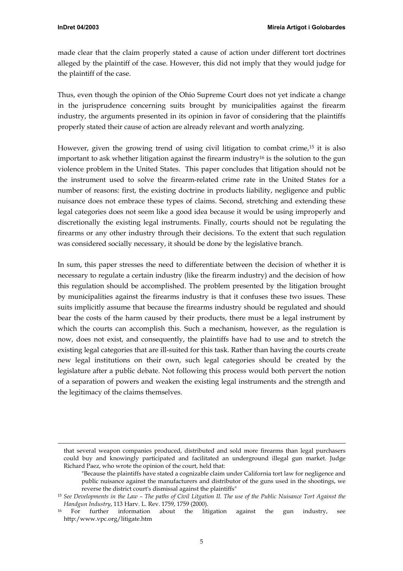-

made clear that the claim properly stated a cause of action under different tort doctrines alleged by the plaintiff of the case. However, this did not imply that they would judge for the plaintiff of the case.

Thus, even though the opinion of the Ohio Supreme Court does not yet indicate a change in the jurisprudence concerning suits brought by municipalities against the firearm industry, the arguments presented in its opinion in favor of considering that the plaintiffs properly stated their cause of action are already relevant and worth analyzing.

However, given the growing trend of using civil litigation to combat crime, $15$  it is also important to ask whether litigation against the firearm industr[y16](#page-4-1) is the solution to the gun violence problem in the United States. This paper concludes that litigation should not be the instrument used to solve the firearm-related crime rate in the United States for a number of reasons: first, the existing doctrine in products liability, negligence and public nuisance does not embrace these types of claims. Second, stretching and extending these legal categories does not seem like a good idea because it would be using improperly and discretionally the existing legal instruments. Finally, courts should not be regulating the firearms or any other industry through their decisions. To the extent that such regulation was considered socially necessary, it should be done by the legislative branch.

In sum, this paper stresses the need to differentiate between the decision of whether it is necessary to regulate a certain industry (like the firearm industry) and the decision of how this regulation should be accomplished. The problem presented by the litigation brought by municipalities against the firearms industry is that it confuses these two issues. These suits implicitly assume that because the firearms industry should be regulated and should bear the costs of the harm caused by their products, there must be a legal instrument by which the courts can accomplish this. Such a mechanism, however, as the regulation is now, does not exist, and consequently, the plaintiffs have had to use and to stretch the existing legal categories that are ill-suited for this task. Rather than having the courts create new legal institutions on their own, such legal categories should be created by the legislature after a public debate. Not following this process would both pervert the notion of a separation of powers and weaken the existing legal instruments and the strength and the legitimacy of the claims themselves.

that several weapon companies produced, distributed and sold more firearms than legal purchasers could buy and knowingly participated and facilitated an underground illegal gun market. Judge Richard Paez, who wrote the opinion of the court, held that:

<sup>&</sup>quot;Because the plaintiffs have stated a cognizable claim under California tort law for negligence and public nuisance against the manufacturers and distributor of the guns used in the shootings, we reverse the district court's dismissal against the plaintiffs"

<span id="page-4-0"></span><sup>15</sup> *See Developments in the Law – The paths of Civil Litgation II. The use of the Public Nuisance Tort Against the Handgun Industry*, 113 Harv. L. Rev. 1759, 1759 (2000).

<span id="page-4-1"></span><sup>16</sup> For further information about the litigation against the gun industry, see [http:/www.vpc.org/litigate.htm](http://www.vpc.org/litigate.htm)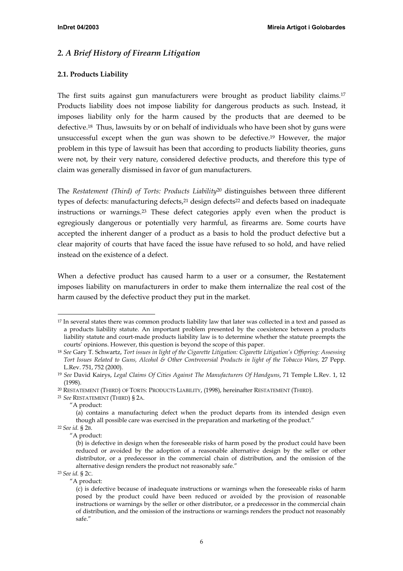## <span id="page-5-0"></span>*2. A Brief History of Firearm Litigation*

#### **2.1. Products Liability**

The first suits against gun manufacturers were brought as product liability claims[.17](#page-5-1) Products liability does not impose liability for dangerous products as such. Instead, it imposes liability only for the harm caused by the products that are deemed to be defective.[18](#page-5-2) Thus, lawsuits by or on behalf of individuals who have been shot by guns were unsuccessful except when the gun was shown to be defective[.19](#page-5-3) However, the major problem in this type of lawsuit has been that according to products liability theories, guns were not, by their very nature, considered defective products, and therefore this type of claim was generally dismissed in favor of gun manufacturers.

The *Restatement (Third) of Torts: Products Liability*[20](#page-5-4) distinguishes between three different types of defects: manufacturing defects, $21$  design defects $22$  and defects based on inadequate instructions or warnings[.23](#page-5-7) These defect categories apply even when the product is egregiously dangerous or potentially very harmful, as firearms are. Some courts have accepted the inherent danger of a product as a basis to hold the product defective but a clear majority of courts that have faced the issue have refused to so hold, and have relied instead on the existence of a defect.

When a defective product has caused harm to a user or a consumer, the Restatement imposes liability on manufacturers in order to make them internalize the real cost of the harm caused by the defective product they put in the market.

<span id="page-5-5"></span><sup>21</sup> *See* RESTATEMENT (THIRD) § 2A.

<span id="page-5-1"></span> <sup>17</sup> In several states there was common products liability law that later was collected in a text and passed as a products liability statute. An important problem presented by the coexistence between a products liability statute and court-made products liability law is to determine whether the statute preempts the courts' opinions. However, this question is beyond the scope of this paper.

<span id="page-5-2"></span><sup>18</sup> *See* Gary T. Schwartz, *Tort issues in light of the Cigarette Litigation: Cigarette Litigation's Offspring: Assessing Tort Issues Related to Guns, Alcohol & Other Controversial Products in light of the Tobacco Wars*, 27 Pepp. L.Rev. 751, 752 (2000).

<span id="page-5-3"></span><sup>19</sup> *See* David Kairys, *Legal Claims Of Cities Against The Manufacturers Of Handguns*, 71 Temple L.Rev. 1, 12 (1998).

<span id="page-5-4"></span><sup>20</sup> RESTATEMENT (THIRD) OF TORTS: PRODUCTS LIABILITY, (1998), hereinafter RESTATEMENT (THIRD).

<sup>&</sup>quot;A product:

<sup>(</sup>a) contains a manufacturing defect when the product departs from its intended design even though all possible care was exercised in the preparation and marketing of the product."

<span id="page-5-6"></span><sup>22</sup> *See id.* § 2B.

<sup>&</sup>quot;A product:

<sup>(</sup>b) is defective in design when the foreseeable risks of harm posed by the product could have been reduced or avoided by the adoption of a reasonable alternative design by the seller or other distributor, or a predecessor in the commercial chain of distribution, and the omission of the alternative design renders the product not reasonably safe."

<span id="page-5-7"></span><sup>23</sup> *See id.* § 2C.

<sup>&</sup>quot;A product:

<sup>(</sup>c) is defective because of inadequate instructions or warnings when the foreseeable risks of harm posed by the product could have been reduced or avoided by the provision of reasonable instructions or warnings by the seller or other distributor, or a predecessor in the commercial chain of distribution, and the omission of the instructions or warnings renders the product not reasonably safe."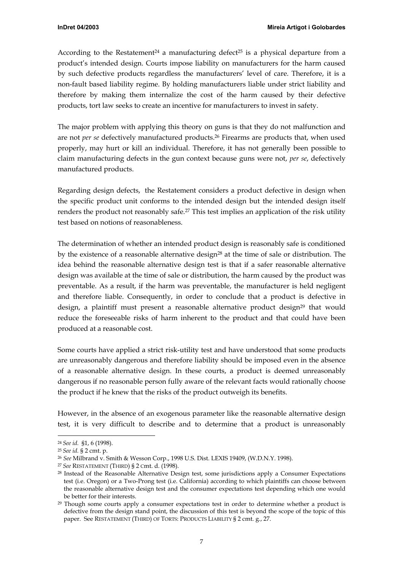According to the Restatement<sup>24</sup> a manufacturing defect<sup>25</sup> is a physical departure from a product's intended design. Courts impose liability on manufacturers for the harm caused by such defective products regardless the manufacturers' level of care. Therefore, it is a non-fault based liability regime. By holding manufacturers liable under strict liability and therefore by making them internalize the cost of the harm caused by their defective products, tort law seeks to create an incentive for manufacturers to invest in safety.

The major problem with applying this theory on guns is that they do not malfunction and are not *per se* defectively manufactured products[.26](#page-6-2) Firearms are products that, when used properly, may hurt or kill an individual. Therefore, it has not generally been possible to claim manufacturing defects in the gun context because guns were not, *per se*, defectively manufactured products.

Regarding design defects, the Restatement considers a product defective in design when the specific product unit conforms to the intended design but the intended design itself renders the product not reasonably safe.<sup>27</sup> This test implies an application of the risk utility test based on notions of reasonableness.

The determination of whether an intended product design is reasonably safe is conditioned by the existence of a reasonable alternative design<sup>28</sup> at the time of sale or distribution. The idea behind the reasonable alternative design test is that if a safer reasonable alternative design was available at the time of sale or distribution, the harm caused by the product was preventable. As a result, if the harm was preventable, the manufacturer is held negligent and therefore liable. Consequently, in order to conclude that a product is defective in design, a plaintiff must present a reasonable alternative product design<sup>29</sup> that would reduce the foreseeable risks of harm inherent to the product and that could have been produced at a reasonable cost.

Some courts have applied a strict risk-utility test and have understood that some products are unreasonably dangerous and therefore liability should be imposed even in the absence of a reasonable alternative design. In these courts, a product is deemed unreasonably dangerous if no reasonable person fully aware of the relevant facts would rationally choose the product if he knew that the risks of the product outweigh its benefits.

However, in the absence of an exogenous parameter like the reasonable alternative design test, it is very difficult to describe and to determine that a product is unreasonably

<span id="page-6-0"></span> <sup>24</sup> *See id.* §1, 6 (1998).

<span id="page-6-1"></span><sup>25</sup> *See id.* § 2 cmt. p.

<span id="page-6-2"></span><sup>26</sup> *See* Milbrand v. Smith & Wesson Corp., 1998 U.S. Dist. LEXIS 19409, (W.D.N.Y. 1998).

<span id="page-6-3"></span><sup>27</sup> *See* RESTATEMENT (THIRD) § 2 Cmt. d. (1998).

<span id="page-6-4"></span><sup>28</sup> Instead of the Reasonable Alternative Design test, some jurisdictions apply a Consumer Expectations test (i.e. Oregon) or a Two-Prong test (i.e. California) according to which plaintiffs can choose between the reasonable alternative design test and the consumer expectations test depending which one would be better for their interests.

<span id="page-6-5"></span><sup>&</sup>lt;sup>29</sup> Though some courts apply a consumer expectations test in order to determine whether a product is defective from the design stand point, the discussion of this test is beyond the scope of the topic of this paper. See RESTATEMENT (THIRD) OF TORTS: PRODUCTS LIABILITY § 2 cmt. g., 27.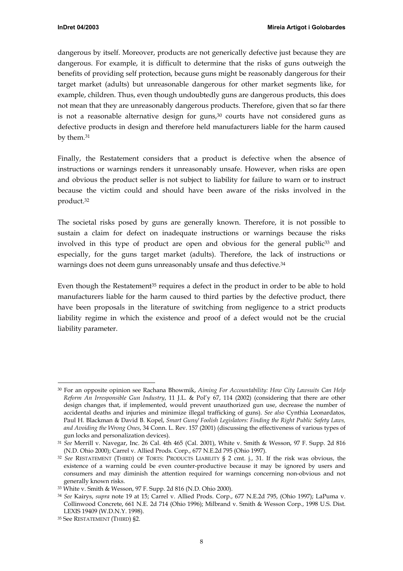dangerous by itself. Moreover, products are not generically defective just because they are dangerous. For example, it is difficult to determine that the risks of guns outweigh the benefits of providing self protection, because guns might be reasonably dangerous for their target market (adults) but unreasonable dangerous for other market segments like, for example, children. Thus, even though undoubtedly guns are dangerous products, this does not mean that they are unreasonably dangerous products. Therefore, given that so far there is not a reasonable alternative design for guns[,30](#page-7-0) courts have not considered guns as defective products in design and therefore held manufacturers liable for the harm caused by them[.31](#page-7-1) 

Finally, the Restatement considers that a product is defective when the absence of instructions or warnings renders it unreasonably unsafe. However, when risks are open and obvious the product seller is not subject to liability for failure to warn or to instruct because the victim could and should have been aware of the risks involved in the product.[32](#page-7-2) 

The societal risks posed by guns are generally known. Therefore, it is not possible to sustain a claim for defect on inadequate instructions or warnings because the risks involved in this type of product are open and obvious for the general public<sup>33</sup> and especially, for the guns target market (adults). Therefore, the lack of instructions or warnings does not deem guns unreasonably unsafe and thus defective.<sup>34</sup>

Even though the Restatement<sup>35</sup> requires a defect in the product in order to be able to hold manufacturers liable for the harm caused to third parties by the defective product, there have been proposals in the literature of switching from negligence to a strict products liability regime in which the existence and proof of a defect would not be the crucial liability parameter.

<span id="page-7-0"></span> <sup>30</sup> For an opposite opinion see Rachana Bhowmik, *Aiming For Accountability: How City Lawsuits Can Help Reform An Irresponsible Gun Industry*, 11 J.L. & Pol'y 67, 114 (2002) (considering that there are other design changes that, if implemented, would prevent unauthorized gun use, decrease the number of accidental deaths and injuries and minimize illegal trafficking of guns). *See also* Cynthia Leonardatos, Paul H. Blackman & David B. Kopel, *Smart Guns/ Foolish Legislators: Finding the Right Public Safety Laws, and Avoiding the Wrong Ones*, 34 Conn. L. Rev. 157 (2001) (discussing the effectiveness of various types of gun locks and personalization devices).

<span id="page-7-1"></span><sup>31</sup> *See* Merrill v. Navegar, Inc. 26 Cal. 4th 465 (Cal. 2001), White v. Smith & Wesson, 97 F. Supp. 2d 816 (N.D. Ohio 2000); Carrel v. Allied Prods. Corp., 677 N.E.2d 795 (Ohio 1997).

<span id="page-7-2"></span><sup>32</sup> *See* RESTATEMENT (THIRD) OF TORTS: PRODUCTS LIABILITY § 2 cmt. j., 31. If the risk was obvious, the existence of a warning could be even counter-productive because it may be ignored by users and consumers and may diminish the attention required for warnings concerning non-obvious and not generally known risks.

<span id="page-7-3"></span><sup>33</sup> White v. Smith & Wesson, 97 F. Supp. 2d 816 (N.D. Ohio 2000).

<span id="page-7-4"></span><sup>34</sup> *See* Kairys, *supra* note 19 at 15; Carrel v. Allied Prods. Corp., 677 N.E.2d 795, (Ohio 1997); LaPuma v. Collinwood Concrete, 661 N.E. 2d 714 (Ohio 1996); Milbrand v. Smith & Wesson Corp., 1998 U.S. Dist. LEXIS 19409 (W.D.N.Y. 1998).

<span id="page-7-5"></span><sup>35</sup> See RESTATEMENT (THIRD) §2.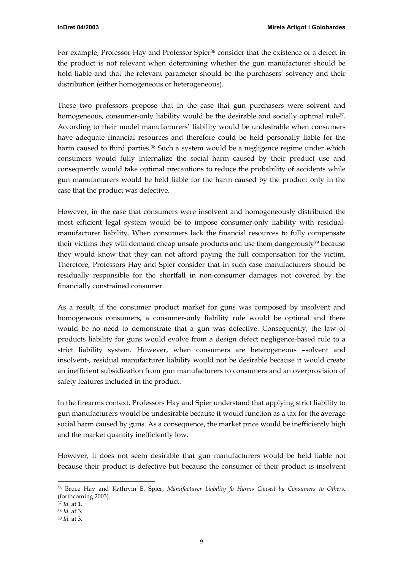For example, Professor Hay and Professor Spier<sup>36</sup> consider that the existence of a defect in the product is not relevant when determining whether the gun manufacturer should be hold liable and that the relevant parameter should be the purchasers' solvency and their distribution (either homogeneous or heterogeneous).

These two professors propose that in the case that gun purchasers were solvent and homogeneous, consumer-only liability would be the desirable and socially optimal rule<sup>37</sup>. According to their model manufacturers' liability would be undesirable when consumers have adequate financial resources and therefore could be held personally liable for the harm caused to third parties.<sup>38</sup> Such a system would be a negligence regime under which consumers would fully internalize the social harm caused by their product use and consequently would take optimal precautions to reduce the probability of accidents while gun manufacturers would be held liable for the harm caused by the product only in the case that the product was defective.

However, in the case that consumers were insolvent and homogeneously distributed the most efficient legal system would be to impose consumer-only liability with residualmanufacturer liability. When consumers lack the financial resources to fully compensate their victims they will demand cheap unsafe products and use them dangerously<sup>39</sup> because they would know that they can not afford paying the full compensation for the victim. Therefore, Professors Hay and Spier consider that in such case manufacturers should be residually responsible for the shortfall in non-consumer damages not covered by the financially constrained consumer.

As a result, if the consumer product market for guns was composed by insolvent and homogeneous consumers, a consumer-only liability rule would be optimal and there would be no need to demonstrate that a gun was defective. Consequently, the law of products liability for guns would evolve from a design defect negligence-based rule to a strict liability system. However, when consumers are heterogeneous –solvent and insolvent-, residual manufacturer liability would not be desirable because it would create an inefficient subsidization from gun manufacturers to consumers and an overprovision of safety features included in the product.

In the firearms context, Professors Hay and Spier understand that applying strict liability to gun manufacturers would be undesirable because it would function as a tax for the average social harm caused by guns. As a consequence, the market price would be inefficiently high and the market quantity inefficiently low.

However, it does not seem desirable that gun manufacturers would be held liable not because their product is defective but because the consumer of their product is insolvent

<span id="page-8-0"></span> <sup>36</sup> Bruce Hay and Kathryin E. Spier, *Manufacturer Liability fo Harms Caused by Consumers to Others*, (forthcoming 2003).

<span id="page-8-1"></span><sup>37</sup> *Id.* at 1.

<span id="page-8-2"></span><sup>38</sup> *Id.* at 3.

<span id="page-8-3"></span><sup>39</sup> *Id.* at 3.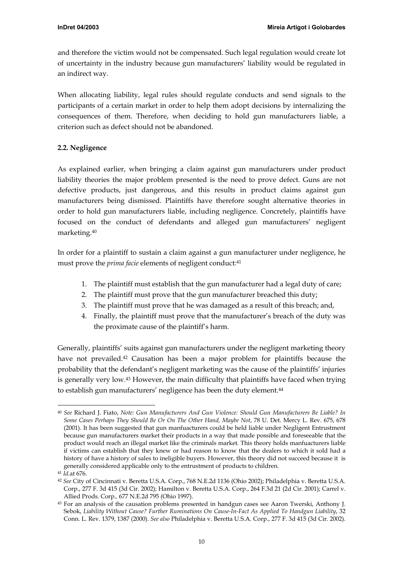<span id="page-9-4"></span><span id="page-9-0"></span>and therefore the victim would not be compensated. Such legal regulation would create lot of uncertainty in the industry because gun manufacturers' liability would be regulated in an indirect way.

When allocating liability, legal rules should regulate conducts and send signals to the participants of a certain market in order to help them adopt decisions by internalizing the consequences of them. Therefore, when deciding to hold gun manufacturers liable, a criterion such as defect should not be abandoned.

## **2.2. Negligence**

As explained earlier, when bringing a claim against gun manufacturers under product liability theories the major problem presented is the need to prove defect. Guns are not defective products, just dangerous, and this results in product claims against gun manufacturers being dismissed. Plaintiffs have therefore sought alternative theories in order to hold gun manufacturers liable, including negligence. Concretely, plaintiffs have focused on the conduct of defendants and alleged gun manufacturers' negligent marketing[.40](#page-9-1) 

In order for a plaintiff to sustain a claim against a gun manufacturer under negligence, he must prove the *prima facie* elements of negligent conduct:<sup>41</sup>

- 1. The plaintiff must establish that the gun manufacturer had a legal duty of care;
- 2. The plaintiff must prove that the gun manufacturer breached this duty;
- 3. The plaintiff must prove that he was damaged as a result of this breach; and,
- 4. Finally, the plaintiff must prove that the manufacturer's breach of the duty was the proximate cause of the plaintiff's harm.

Generally, plaintiffs' suits against gun manufacturers under the negligent marketing theory have not prevailed[.42](#page-9-3) Causation has been a major problem for plaintiffs because the probability that the defendant's negligent marketing was the cause of the plaintiffs' injuries is generally very low[.43](#page-9-4) However, the main difficulty that plaintiffs have faced when trying to establish gun manufacturers' negligence has been the duty element.<sup>44</sup>

<span id="page-9-1"></span> <sup>40</sup> *See* Richard J. Fiato, *Note: Gun Manufacturers And Gun Violence: Should Gun Manufacturers Be Liable? In Some Cases Perhaps They Should Be Or On The Other Hand, Maybe Not*, 78 U. Det. Mercy L. Rev. 675, 678 (2001). It has been suggested that gun manfuacturers could be held liable under Negligent Entrustment because gun manufacturers market their products in a way that made possible and foreseeable that the product would reach an illegal market like the criminals market. This theory holds manfuacturers liable if victims can establish that they knew or had reason to know that the dealers to which it sold had a history of have a history of sales to ineligible buyers. However, this theory did not succeed because it is generally considered applicable only to the entrustment of products to children.

<span id="page-9-2"></span><sup>41</sup> *Id.*at 676.

<span id="page-9-3"></span><sup>42</sup> *See* City of Cincinnati v. Beretta U.S.A. Corp., 768 N.E.2d 1136 (Ohio 2002); Philadelphia v. Beretta U.S.A. Corp., 277 F. 3d 415 (3d Cir. 2002); Hamilton v. Beretta U.S.A. Corp., 264 F.3d 21 (2d Cir. 2001); Carrel v. Allied Prods. Corp.*,* 677 N.E.2d 795 (Ohio 1997).

<sup>&</sup>lt;sup>43</sup> For an analysis of the causation problems presented in handgun cases see Aaron Twerski, Anthony J. Sebok, *Liability Without Cause? Further Ruminations On Cause-In-Fact As Applied To Handgun Liability*, 32 Conn. L. Rev. 1379, 1387 (2000). *See also* Philadelphia v. Beretta U.S.A. Corp., 277 F. 3d 415 (3d Cir. 2002).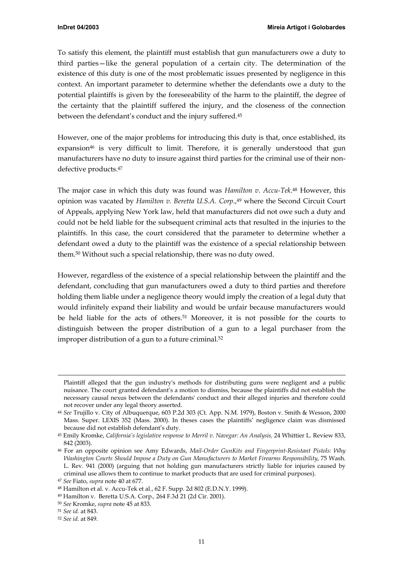To satisfy this element, the plaintiff must establish that gun manufacturers owe a duty to third parties—like the general population of a certain city. The determination of the existence of this duty is one of the most problematic issues presented by negligence in this context. An important parameter to determine whether the defendants owe a duty to the potential plaintiffs is given by the foreseeability of the harm to the plaintiff, the degree of the certainty that the plaintiff suffered the injury, and the closeness of the connection between the defendant's conduct and the injury suffered[.45](#page-10-0) 

However, one of the major problems for introducing this duty is that, once established, its expansion<sup>46</sup> is very difficult to limit. Therefore, it is generally understood that gun manufacturers have no duty to insure against third parties for the criminal use of their nondefective products[.47](#page-10-2) 

The major case in which this duty was found was *Hamilton v. Accu-Tek*.[48](#page-10-3) However, this opinion was vacated by *Hamilton v. Beretta U.S.A. Corp*.,[49](#page-10-4) where the Second Circuit Court of Appeals, applying New York law, held that manufacturers did not owe such a duty and could not be held liable for the subsequent criminal acts that resulted in the injuries to the plaintiffs. In this case, the court considered that the parameter to determine whether a defendant owed a duty to the plaintiff was the existence of a special relationship between them[.50](#page-10-5) Without such a special relationship, there was no duty owed.

However, regardless of the existence of a special relationship between the plaintiff and the defendant, concluding that gun manufacturers owed a duty to third parties and therefore holding them liable under a negligence theory would imply the creation of a legal duty that would infinitely expand their liability and would be unfair because manufacturers would be held liable for the acts of others[.51](#page-10-6) Moreover, it is not possible for the courts to distinguish between the proper distribution of a gun to a legal purchaser from the improper distribution of a gun to a future criminal.<sup>52</sup>

-

Plaintiff alleged that the gun industry's methods for distributing guns were negligent and a public nuisance. The court granted defendant's a motion to dismiss, because the plaintiffs did not establish the necessary causal nexus between the defendants' conduct and their alleged injuries and therefore could not recover under any legal theory asserted.

<sup>44</sup> *See* Trujillo v. City of Albuquerque, 603 P.2d 303 (Ct. App. N.M. 1979), Boston v. Smith & Wesson, 2000 Mass. Super. LEXIS 352 (Mass. 2000). In theses cases the plaintiffs' negligence claim was dismissed because did not establish defendant's duty.

<span id="page-10-0"></span><sup>45</sup> Emily Kromke, *California's legislative response to Merril v. Navegar: An Analysis,* 24 Whittier L. Review 833, 842 (2003).

<span id="page-10-1"></span><sup>46</sup> For an opposite opinion see Amy Edwards, *Mail-Order GunKits and Fingerprint-Resistant Pistols: Why Washington Courts Should Impose a Duty on Gun Manufacturers to Market Firearms Responsibility*, 75 Wash. L. Rev. 941 (2000) (arguing that not holding gun manufacturers strictly liable for injuries caused by criminal use allows them to continue to market products that are used for criminal purposes).

<span id="page-10-2"></span><sup>47</sup> *See* Fiato, *supra* note 40 at 677.

<span id="page-10-3"></span><sup>48</sup> Hamilton et al. v. Accu-Tek et al*.*, 62 F. Supp. 2d 802 (E.D.N.Y. 1999).

<span id="page-10-4"></span><sup>49</sup> Hamilton v. Beretta U.S.A. Corp.*,* 264 F.3d 21 (2d Cir. 2001).

<span id="page-10-5"></span><sup>50</sup> *See* Kromke, *supra* note 45 at 833.

<span id="page-10-6"></span><sup>51</sup> *See id.* at 843.

<span id="page-10-7"></span><sup>52</sup> *See id.* at 849.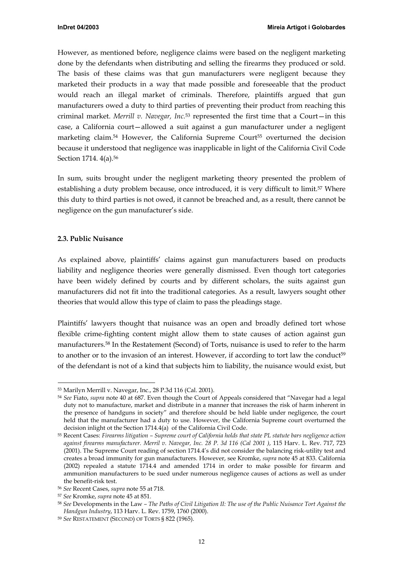<span id="page-11-0"></span>However, as mentioned before, negligence claims were based on the negligent marketing done by the defendants when distributing and selling the firearms they produced or sold. The basis of these claims was that gun manufacturers were negligent because they marketed their products in a way that made possible and foreseeable that the product would reach an illegal market of criminals. Therefore, plaintiffs argued that gun manufacturers owed a duty to third parties of preventing their product from reaching this criminal market. *Merrill v. Navegar, Inc.*[53](#page-11-1) represented the first time that a Court—in this case, a California court—allowed a suit against a gun manufacturer under a negligent marketing claim.<sup>54</sup> However, the California Supreme Court<sup>55</sup> overturned the decision because it understood that negligence was inapplicable in light of the California Civil Code Section 1714. 4(a).<sup>56</sup>

In sum, suits brought under the negligent marketing theory presented the problem of establishing a duty problem because, once introduced, it is very difficult to limit.<sup>57</sup> Where this duty to third parties is not owed, it cannot be breached and, as a result, there cannot be negligence on the gun manufacturer's side.

#### **2.3. Public Nuisance**

As explained above, plaintiffs' claims against gun manufacturers based on products liability and negligence theories were generally dismissed. Even though tort categories have been widely defined by courts and by different scholars, the suits against gun manufacturers did not fit into the traditional categories. As a result, lawyers sought other theories that would allow this type of claim to pass the pleadings stage.

Plaintiffs' lawyers thought that nuisance was an open and broadly defined tort whose flexible crime-fighting content might allow them to state causes of action against gun manufacturers[.58](#page-11-6) In the Restatement (Second) of Torts, nuisance is used to refer to the harm to another or to the invasion of an interest. However, if according to tort law the conduct<sup>59</sup> of the defendant is not of a kind that subjects him to liability, the nuisance would exist, but

<span id="page-11-1"></span> <sup>53</sup> Marilyn Merrill v. Navegar, Inc., <sup>28</sup> P.3d 116 (Cal. 2001).

<span id="page-11-2"></span><sup>54</sup> *See* Fiato, *supra* note 40 at 687. Even though the Court of Appeals considered that "Navegar had a legal duty not to manufacture, market and distribute in a manner that increases the risk of harm inherent in the presence of handguns in society" and therefore should be held liable under negligence, the court held that the manufacturer had a duty to use. However, the California Supreme court overturned the decision inlight ot the Section 1714.4(a) of the California Civil Code.

<span id="page-11-3"></span><sup>55</sup> Recent Cases: *Firearms litigation – Supreme court of California holds that state PL statute bars negligence action against firearms manufacturer. Merril v. Navegar, Inc. 28 P. 3d 116 (Cal 2001 )*, 115 Harv. L. Rev. 717, 723 (2001). The Supreme Court reading of section 1714.4's did not consider the balancing risk-utility test and creates a broad immunity for gun manufacturers. However, see Kromke, *supra* note 45 at 833. California (2002) repealed a statute 1714.4 and amended 1714 in order to make possible for firearm and ammunition manufacturers to be sued under numerous negligence causes of actions as well as under the benefit-risk test.

<span id="page-11-4"></span><sup>56</sup> *See* Recent Cases, *supra* note 55 at 718.

<span id="page-11-5"></span><sup>57</sup> *See* Kromke, *supra* note 45 at 851.

<span id="page-11-6"></span><sup>58</sup> *See* Developments in the Law *– The Paths of Civil Litigation II: The use of the Public Nuisance Tort Against the Handgun Industry*, 113 Harv. L. Rev. 1759, 1760 (2000).

<span id="page-11-7"></span><sup>59</sup> *See* RESTATEMENT (SECOND) OF TORTS § 822 (1965).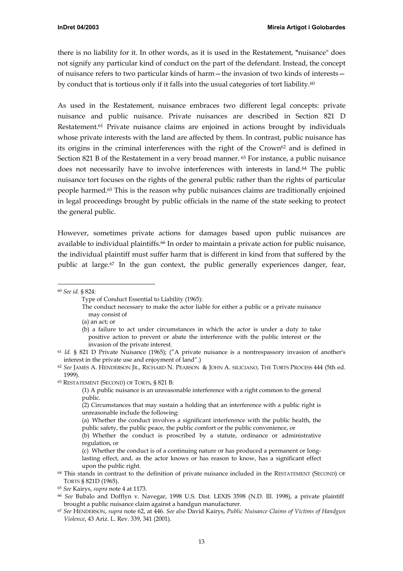there is no liability for it. In other words, as it is used in the Restatement, **"**nuisance" does not signify any particular kind of conduct on the part of the defendant. Instead, the concept of nuisance refers to two particular kinds of harm—the invasion of two kinds of interests by conduct that is tortious only if it falls into the usual categories of tort liability.<sup>60</sup>

As used in the Restatement, nuisance embraces two different legal concepts: private nuisance and public nuisance. Private nuisances are described in Section 821 D Restatement[.61](#page-12-1) Private nuisance claims are enjoined in actions brought by individuals whose private interests with the land are affected by them. In contrast, public nuisance has its origins in the criminal interferences with the right of the Crown<sup>62</sup> and is defined in Section 821 B of the Restatement in a very broad manner. [63](#page-12-3) For instance, a public nuisance does not necessarily have to involve interferences with interests in land.<sup>64</sup> The public nuisance tort focuses on the rights of the general public rather than the rights of particular people harmed[.65](#page-12-5) This is the reason why public nuisances claims are traditionally enjoined in legal proceedings brought by public officials in the name of the state seeking to protect the general public.

However, sometimes private actions for damages based upon public nuisances are available to individual plaintiffs.<sup>66</sup> In order to maintain a private action for public nuisance, the individual plaintiff must suffer harm that is different in kind from that suffered by the public at large.<sup>67</sup> In the gun context, the public generally experiences danger, fear,

(a) an act; or

<span id="page-12-0"></span> <sup>60</sup> *See id.* § 824:

Type of Conduct Essential to Liability (1965):

The conduct necessary to make the actor liable for either a public or a private nuisance may consist of

<sup>(</sup>b) a failure to act under circumstances in which the actor is under a duty to take positive action to prevent or abate the interference with the public interest or the invasion of the private interest.

<span id="page-12-1"></span><sup>61</sup> *Id.* § 821 D Private Nuisance (1965); ("A private nuisance is a nontrespassory invasion of another's interest in the private use and enjoyment of land".)

<span id="page-12-2"></span><sup>62</sup> *See* JAMES A. HENDERSON JR., RICHARD N. PEARSON & JOHN A. SILICIANO, THE TORTS PROCESS 444 (5th ed. 1999).

<span id="page-12-3"></span><sup>63</sup> RESTATEMENT (SECOND) OF TORTS, § 821 B:

<sup>(1)</sup> A public nuisance is an unreasonable interference with a right common to the general public.

<sup>(2)</sup> Circumstances that may sustain a holding that an interference with a public right is unreasonable include the following:

<sup>(</sup>a) Whether the conduct involves a significant interference with the public health, the public safety, the public peace, the public comfort or the public convenience, or

<sup>(</sup>b) Whether the conduct is proscribed by a statute, ordinance or administrative regulation, or

<sup>(</sup>c) Whether the conduct is of a continuing nature or has produced a permanent or longlasting effect, and, as the actor knows or has reason to know, has a significant effect upon the public right.

<span id="page-12-4"></span><sup>64</sup> This stands in contrast to the definition of private nuisance included in the RESTATEMENT (SECOND) OF TORTS § 821D (1965).

<span id="page-12-5"></span><sup>65</sup> *See* Kairys, *supra* note 4 at 1173.

<span id="page-12-6"></span><sup>66</sup> *See* Bubalo and Dofflyn v. Navegar, 1998 U.S. Dist. LEXIS 3598 (N.D. Ill. 1998), a private plaintiff brought a public nuisance claim against a handgun manufacturer.

<span id="page-12-7"></span><sup>67</sup> *See* HENDERSON, *supra* note 62, at 446. *See also* David Kairys, *Public Nuisance Claims of Victims of Handgun Violence*, 43 Ariz. L. Rev. 339, 341 (2001).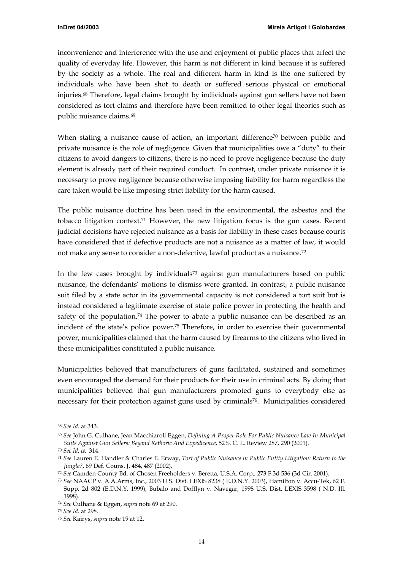inconvenience and interference with the use and enjoyment of public places that affect the quality of everyday life. However, this harm is not different in kind because it is suffered by the society as a whole. The real and different harm in kind is the one suffered by individuals who have been shot to death or suffered serious physical or emotional injuries[.68](#page-13-0) Therefore, legal claims brought by individuals against gun sellers have not been considered as tort claims and therefore have been remitted to other legal theories such as public nuisance claims.[69](#page-13-1) 

When stating a nuisance cause of action, an important difference<sup>70</sup> between public and private nuisance is the role of negligence. Given that municipalities owe a "duty" to their citizens to avoid dangers to citizens, there is no need to prove negligence because the duty element is already part of their required conduct. In contrast, under private nuisance it is necessary to prove negligence because otherwise imposing liability for harm regardless the care taken would be like imposing strict liability for the harm caused.

The public nuisance doctrine has been used in the environmental, the asbestos and the tobacco litigation context.<sup>71</sup> However, the new litigation focus is the gun cases. Recent judicial decisions have rejected nuisance as a basis for liability in these cases because courts have considered that if defective products are not a nuisance as a matter of law, it would not make any sense to consider a non-defective, lawful product as a nuisance[.72](#page-13-4)

In the few cases brought by individual[s73](#page-13-5) against gun manufacturers based on public nuisance, the defendants' motions to dismiss were granted. In contrast, a public nuisance suit filed by a state actor in its governmental capacity is not considered a tort suit but is instead considered a legitimate exercise of state police power in protecting the health and safety of the population.<sup>74</sup> The power to abate a public nuisance can be described as an incident of the state's police power[.75](#page-13-7) Therefore, in order to exercise their governmental power, municipalities claimed that the harm caused by firearms to the citizens who lived in these municipalities constituted a public nuisance.

Municipalities believed that manufacturers of guns facilitated, sustained and sometimes even encouraged the demand for their products for their use in criminal acts. By doing that municipalities believed that gun manufacturers promoted guns to everybody else as necessary for their protection against guns used by criminals[76.](#page-13-8) Municipalities considered

<span id="page-13-0"></span> <sup>68</sup> *See Id.* at 343.

<span id="page-13-1"></span><sup>69</sup> *See* John G. Culhane, Jean Macchiaroli Eggen, *Defining A Proper Role For Public Nuisance Law In Municipal Suits Against Gun Sellers: Beyond Rethoric And Expedicence*, 52 S. C. L. Review 287, 290 (2001).

<span id="page-13-2"></span><sup>70</sup> *See Id.* at 314.

<span id="page-13-3"></span><sup>71</sup> *See* Lauren E. Handler & Charles E. Erway, *Tort of Public Nuisance in Public Entity Litigation: Return to the Jungle?*, 69 Def. Couns. J. 484, 487 (2002).

<span id="page-13-4"></span><sup>72</sup> *See* Camden County Bd. of Chosen Freeholders v. Beretta, U.S.A. Corp., 273 F.3d 536 (3d Cir. 2001).

<span id="page-13-5"></span><sup>73</sup> *See* NAACP v. A.A.Arms, Inc., 2003 U.S. Dist. LEXIS 8238 ( E.D.N.Y. 2003), Hamilton v. Accu-Tek, 62 F. Supp. 2d 802 (E.D.N.Y. 1999); Bubalo and Dofflyn v. Navegar*,* 1998 U.S. Dist. LEXIS 3598 ( N.D. Ill. 1998).

<span id="page-13-6"></span><sup>74</sup> *See* Culhane & Eggen, *supra* note 69 at 290.

<span id="page-13-7"></span><sup>75</sup> *See Id.* at 298.

<span id="page-13-8"></span><sup>76</sup> *See* Kairys, *supra* note 19 at 12.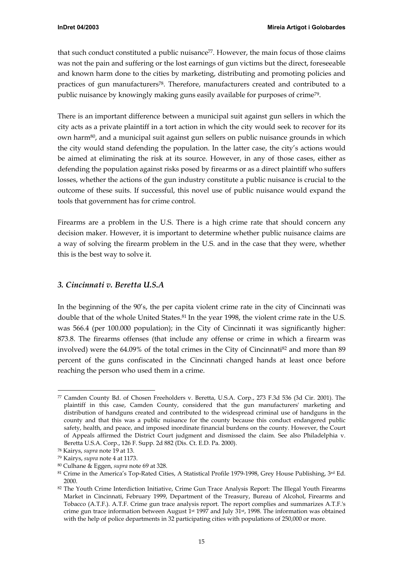<span id="page-14-0"></span>that such conduct constituted a public nuisance<sup>77</sup>. However, the main focus of those claims was not the pain and suffering or the lost earnings of gun victims but the direct, foreseeable and known harm done to the cities by marketing, distributing and promoting policies and practices of gun manufacturers<sup>78</sup>. Therefore, manufacturers created and contributed to a public nuisance by knowingly making guns easily available for purposes of crim[e79.](#page-14-3) 

There is an important difference between a municipal suit against gun sellers in which the city acts as a private plaintiff in a tort action in which the city would seek to recover for its own harm[80,](#page-14-4) and a municipal suit against gun sellers on public nuisance grounds in which the city would stand defending the population. In the latter case, the city's actions would be aimed at eliminating the risk at its source. However, in any of those cases, either as defending the population against risks posed by firearms or as a direct plaintiff who suffers losses, whether the actions of the gun industry constitute a public nuisance is crucial to the outcome of these suits. If successful, this novel use of public nuisance would expand the tools that government has for crime control.

Firearms are a problem in the U.S. There is a high crime rate that should concern any decision maker. However, it is important to determine whether public nuisance claims are a way of solving the firearm problem in the U.S. and in the case that they were, whether this is the best way to solve it.

# *3. Cincinnati v. Beretta U.S.A*

In the beginning of the 90's, the per capita violent crime rate in the city of Cincinnati was double that of the whole United States.<sup>81</sup> In the year 1998, the violent crime rate in the U.S. was 566.4 (per 100.000 population); in the City of Cincinnati it was significantly higher: 873.8. The firearms offenses (that include any offense or crime in which a firearm was involved) were the  $64.09\%$  of the total crimes in the City of Cincinnati $^{82}$  and more than  $89$ percent of the guns confiscated in the Cincinnati changed hands at least once before reaching the person who used them in a crime.

<span id="page-14-1"></span> <sup>77</sup> Camden County Bd. of Chosen Freeholders v. Beretta, U.S.A. Corp., 273 F.3d 536 (3d Cir. 2001). The plaintiff in this case, Camden County, considered that the gun manufacturers' marketing and distribution of handguns created and contributed to the widespread criminal use of handguns in the county and that this was a public nuisance for the county because this conduct endangered public safety, health, and peace, and imposed inordinate financial burdens on the county. However, the Court of Appeals affirmed the District Court judgment and dismissed the claim. See also Philadelphia v. Beretta U.S.A. Corp., 126 F. Supp. 2d 882 (Dis. Ct. E.D. Pa. 2000).

<span id="page-14-2"></span><sup>78</sup> Kairys, *supra* note 19 at 13.

<span id="page-14-3"></span><sup>79</sup> Kairys, *supra* note 4 at 1173.

<span id="page-14-4"></span><sup>80</sup> Culhane & Eggen, *supra* note 69 at 328.

<span id="page-14-5"></span><sup>81</sup> Crime in the America's Top-Rated Cities, A Statistical Profile 1979-1998, Grey House Publishing, 3rd Ed. 2000.

<span id="page-14-6"></span><sup>82</sup> The Youth Crime Interdiction Initiative, Crime Gun Trace Analysis Report: The Illegal Youth Firearms Market in Cincinnati, February 1999, Department of the Treasury, Bureau of Alcohol, Firearms and Tobacco (A.T.F.). A.T.F. Crime gun trace analysis report. The report complies and summarizes A.T.F.'s crime gun trace information between August 1st 1997 and July 31st, 1998. The information was obtained with the help of police departments in 32 participating cities with populations of 250,000 or more.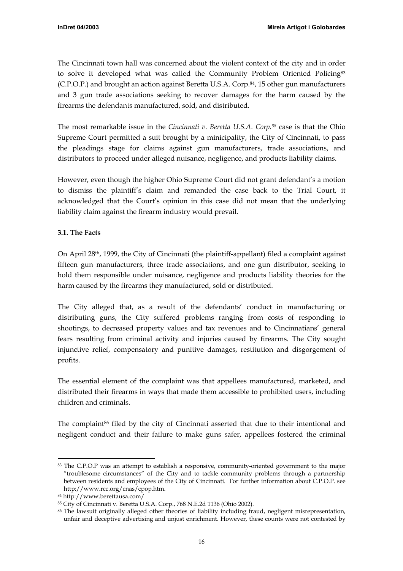<span id="page-15-4"></span><span id="page-15-0"></span>The Cincinnati town hall was concerned about the violent context of the city and in order to solve it developed what was called the Community Problem Oriented Policing<sup>83</sup> (C.P.O.P.) and brought an action against Beretta U.S.A. Corp.<sup>84</sup>, 15 other gun manufacturers and 3 gun trade associations seeking to recover damages for the harm caused by the firearms the defendants manufactured, sold, and distributed.

The most remarkable issue in the *Cincinnati v. Beretta U.S.A. Corp[.85](#page-15-3)* case is that the Ohio Supreme Court permitted a suit brought by a minicipality, the City of Cincinnati, to pass the pleadings stage for claims against gun manufacturers, trade associations, and distributors to proceed under alleged nuisance, negligence, and products liability claims.

However, even though the higher Ohio Supreme Court did not grant defendant's a motion to dismiss the plaintiff's claim and remanded the case back to the Trial Court, it acknowledged that the Court's opinion in this case did not mean that the underlying liability claim against the firearm industry would prevail.

# **3.1. The Facts**

On April 28th, 1999, the City of Cincinnati (the plaintiff-appellant) filed a complaint against fifteen gun manufacturers, three trade associations, and one gun distributor, seeking to hold them responsible under nuisance, negligence and products liability theories for the harm caused by the firearms they manufactured, sold or distributed.

The City alleged that, as a result of the defendants' conduct in manufacturing or distributing guns, the City suffered problems ranging from costs of responding to shootings, to decreased property values and tax revenues and to Cincinnatians' general fears resulting from criminal activity and injuries caused by firearms. The City sought injunctive relief, compensatory and punitive damages, restitution and disgorgement of profits.

The essential element of the complaint was that appellees manufactured, marketed, and distributed their firearms in ways that made them accessible to prohibited users, including children and criminals.

The complaint<sup>86</sup> filed by the city of Cincinnati asserted that due to their intentional and negligent conduct and their failure to make guns safer, appellees fostered the criminal

<span id="page-15-1"></span> <sup>83</sup> The C.P.O.P was an attempt to establish a responsive, community-oriented government to the major "troublesome circumstances" of the City and to tackle community problems through a partnership between residents and employees of the City of Cincinnati. For further information about C.P.O.P. see <http://www.rcc.org/cnas/cpop.htm>.

<span id="page-15-2"></span><sup>84</sup> http://www.berettausa.com/

<span id="page-15-3"></span><sup>85</sup> City of Cincinnati v. Beretta U.S.A. Corp., 768 N.E.2d 1136 (Ohio 2002).

<sup>86</sup> The lawsuit originally alleged other theories of liability including fraud, negligent misrepresentation, unfair and deceptive advertising and unjust enrichment. However, these counts were not contested by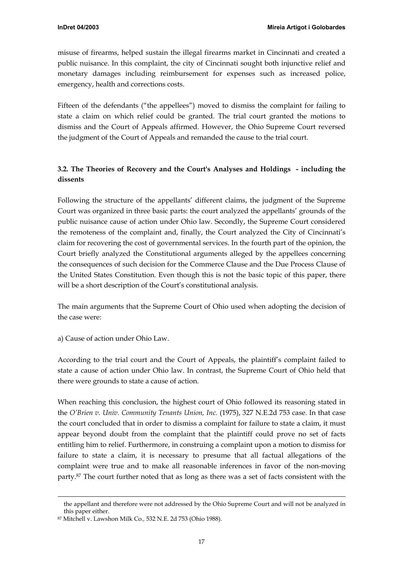<span id="page-16-0"></span>misuse of firearms, helped sustain the illegal firearms market in Cincinnati and created a public nuisance. In this complaint, the city of Cincinnati sought both injunctive relief and monetary damages including reimbursement for expenses such as increased police, emergency, health and corrections costs.

Fifteen of the defendants ("the appellees") moved to dismiss the complaint for failing to state a claim on which relief could be granted. The trial court granted the motions to dismiss and the Court of Appeals affirmed. However, the Ohio Supreme Court reversed the judgment of the Court of Appeals and remanded the cause to the trial court.

# **3.2. The Theories of Recovery and the Court's Analyses and Holdings - including the dissents**

Following the structure of the appellants' different claims, the judgment of the Supreme Court was organized in three basic parts: the court analyzed the appellants' grounds of the public nuisance cause of action under Ohio law. Secondly, the Supreme Court considered the remoteness of the complaint and, finally, the Court analyzed the City of Cincinnati's claim for recovering the cost of governmental services. In the fourth part of the opinion, the Court briefly analyzed the Constitutional arguments alleged by the appellees concerning the consequences of such decision for the Commerce Clause and the Due Process Clause of the United States Constitution. Even though this is not the basic topic of this paper, there will be a short description of the Court's constitutional analysis.

The main arguments that the Supreme Court of Ohio used when adopting the decision of the case were:

a) Cause of action under Ohio Law.

According to the trial court and the Court of Appeals, the plaintiff's complaint failed to state a cause of action under Ohio law. In contrast, the Supreme Court of Ohio held that there were grounds to state a cause of action.

When reaching this conclusion, the highest court of Ohio followed its reasoning stated in the *O'Brien v. Univ. Community Tenants Union, Inc.* (1975), 327 N.E.2d 753 case. In that case the court concluded that in order to dismiss a complaint for failure to state a claim, it must appear beyond doubt from the complaint that the plaintiff could prove no set of facts entitling him to relief. Furthermore, in construing a complaint upon a motion to dismiss for failure to state a claim, it is necessary to presume that all factual allegations of the complaint were true and to make all reasonable inferences in favor of the non-moving party.[87](#page-16-1) The court further noted that as long as there was a set of facts consistent with the

-

the appellant and therefore were not addressed by the Ohio Supreme Court and will not be analyzed in this paper either.

<span id="page-16-1"></span><sup>87</sup> Mitchell v. Lawshon Milk Co.*,* 532 N.E. 2d 753 (Ohio 1988).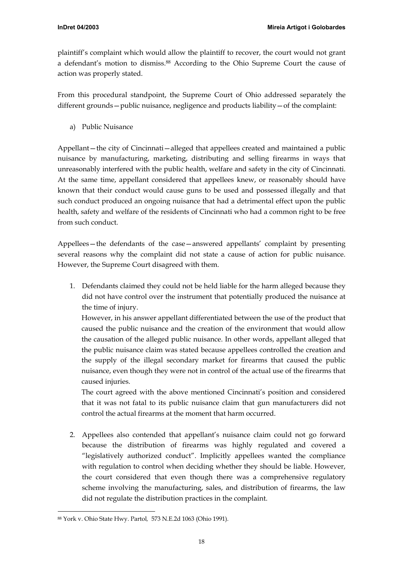plaintiff's complaint which would allow the plaintiff to recover, the court would not grant a defendant's motion to dismiss.[88](#page-17-0) According to the Ohio Supreme Court the cause of action was properly stated.

From this procedural standpoint, the Supreme Court of Ohio addressed separately the different grounds—public nuisance, negligence and products liability—of the complaint:

a) Public Nuisance

Appellant—the city of Cincinnati—alleged that appellees created and maintained a public nuisance by manufacturing, marketing, distributing and selling firearms in ways that unreasonably interfered with the public health, welfare and safety in the city of Cincinnati. At the same time, appellant considered that appellees knew, or reasonably should have known that their conduct would cause guns to be used and possessed illegally and that such conduct produced an ongoing nuisance that had a detrimental effect upon the public health, safety and welfare of the residents of Cincinnati who had a common right to be free from such conduct.

Appellees—the defendants of the case—answered appellants' complaint by presenting several reasons why the complaint did not state a cause of action for public nuisance. However, the Supreme Court disagreed with them.

1. Defendants claimed they could not be held liable for the harm alleged because they did not have control over the instrument that potentially produced the nuisance at the time of injury.

However, in his answer appellant differentiated between the use of the product that caused the public nuisance and the creation of the environment that would allow the causation of the alleged public nuisance. In other words, appellant alleged that the public nuisance claim was stated because appellees controlled the creation and the supply of the illegal secondary market for firearms that caused the public nuisance, even though they were not in control of the actual use of the firearms that caused injuries.

The court agreed with the above mentioned Cincinnati's position and considered that it was not fatal to its public nuisance claim that gun manufacturers did not control the actual firearms at the moment that harm occurred.

2. Appellees also contended that appellant's nuisance claim could not go forward because the distribution of firearms was highly regulated and covered a "legislatively authorized conduct". Implicitly appellees wanted the compliance with regulation to control when deciding whether they should be liable. However, the court considered that even though there was a comprehensive regulatory scheme involving the manufacturing, sales, and distribution of firearms, the law did not regulate the distribution practices in the complaint.

<span id="page-17-0"></span> <sup>88</sup> York v. Ohio State Hwy. Partol*,* 573 N.E.2d 1063 (Ohio 1991).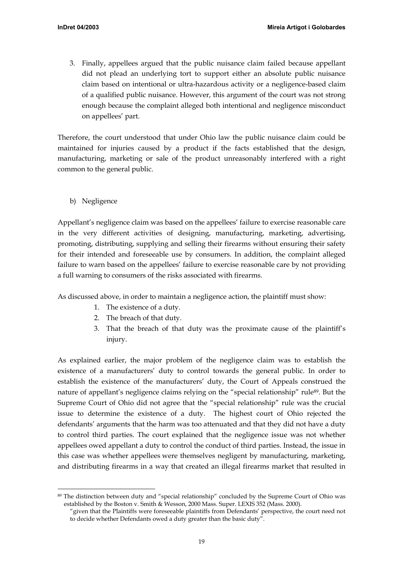3. Finally, appellees argued that the public nuisance claim failed because appellant did not plead an underlying tort to support either an absolute public nuisance claim based on intentional or ultra-hazardous activity or a negligence-based claim of a qualified public nuisance. However, this argument of the court was not strong enough because the complaint alleged both intentional and negligence misconduct on appellees' part.

Therefore, the court understood that under Ohio law the public nuisance claim could be maintained for injuries caused by a product if the facts established that the design, manufacturing, marketing or sale of the product unreasonably interfered with a right common to the general public.

b) Negligence

Appellant's negligence claim was based on the appellees' failure to exercise reasonable care in the very different activities of designing, manufacturing, marketing, advertising, promoting, distributing, supplying and selling their firearms without ensuring their safety for their intended and foreseeable use by consumers. In addition, the complaint alleged failure to warn based on the appellees' failure to exercise reasonable care by not providing a full warning to consumers of the risks associated with firearms.

As discussed above, in order to maintain a negligence action, the plaintiff must show:

- 1. The existence of a duty.
- 2. The breach of that duty.
- 3. That the breach of that duty was the proximate cause of the plaintiff's injury.

As explained earlier, the major problem of the negligence claim was to establish the existence of a manufacturers' duty to control towards the general public. In order to establish the existence of the manufacturers' duty, the Court of Appeals construed the nature of appellant's negligence claims relying on the "special relationship" rule<sup>89</sup>. But the Supreme Court of Ohio did not agree that the "special relationship" rule was the crucial issue to determine the existence of a duty. The highest court of Ohio rejected the defendants' arguments that the harm was too attenuated and that they did not have a duty to control third parties. The court explained that the negligence issue was not whether appellees owed appellant a duty to control the conduct of third parties. Instead, the issue in this case was whether appellees were themselves negligent by manufacturing, marketing, and distributing firearms in a way that created an illegal firearms market that resulted in

<span id="page-18-0"></span> <sup>89</sup> The distinction between duty and "special relationship" concluded by the Supreme Court of Ohio was established by the Boston v. Smith & Wesson, 2000 Mass. Super. LEXIS 352 (Mass. 2000).

<sup>&</sup>quot;given that the Plaintiffs were foreseeable plaintiffs from Defendants' perspective, the court need not to decide whether Defendants owed a duty greater than the basic duty".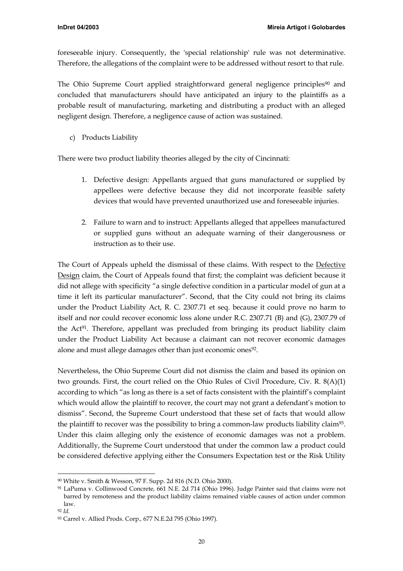foreseeable injury. Consequently, the 'special relationship' rule was not determinative. Therefore, the allegations of the complaint were to be addressed without resort to that rule.

The Ohio Supreme Court applied straightforward general negligence principles<sup>90</sup> and concluded that manufacturers should have anticipated an injury to the plaintiffs as a probable result of manufacturing, marketing and distributing a product with an alleged negligent design. Therefore, a negligence cause of action was sustained.

c) Products Liability

There were two product liability theories alleged by the city of Cincinnati:

- 1. Defective design: Appellants argued that guns manufactured or supplied by appellees were defective because they did not incorporate feasible safety devices that would have prevented unauthorized use and foreseeable injuries.
- 2. Failure to warn and to instruct: Appellants alleged that appellees manufactured or supplied guns without an adequate warning of their dangerousness or instruction as to their use.

The Court of Appeals upheld the dismissal of these claims. With respect to the Defective Design claim, the Court of Appeals found that first; the complaint was deficient because it did not allege with specificity "a single defective condition in a particular model of gun at a time it left its particular manufacturer". Second, that the City could not bring its claims under the Product Liability Act, R. C. 2307.71 et seq. because it could prove no harm to itself and nor could recover economic loss alone under R.C. 2307.71 (B) and (G), 2307.79 of the Act[91.](#page-19-1) Therefore, appellant was precluded from bringing its product liability claim under the Product Liability Act because a claimant can not recover economic damages alone and must allege damages other than just economic ones<sup>92</sup>.

Nevertheless, the Ohio Supreme Court did not dismiss the claim and based its opinion on two grounds. First, the court relied on the Ohio Rules of Civil Procedure, Civ. R. 8(A)(1) according to which "as long as there is a set of facts consistent with the plaintiff's complaint which would allow the plaintiff to recover, the court may not grant a defendant's motion to dismiss". Second, the Supreme Court understood that these set of facts that would allow the plaintiff to recover was the possibility to bring a common-law products liability claim<sup>93</sup>. Under this claim alleging only the existence of economic damages was not a problem. Additionally, the Supreme Court understood that under the common law a product could be considered defective applying either the Consumers Expectation test or the Risk Utility

<span id="page-19-0"></span> <sup>90</sup> White v. Smith & Wesson, 97 F. Supp. 2d 816 (N.D. Ohio 2000).

<span id="page-19-1"></span><sup>91</sup> LaPuma v. Collinwood Concrete*,* 661 N.E. 2d 714 (Ohio 1996). Judge Painter said that claims were not barred by remoteness and the product liability claims remained viable causes of action under common law.

<span id="page-19-2"></span><sup>92</sup> *Id.*

<span id="page-19-3"></span><sup>93</sup> Carrel v. Allied Prods. Corp.*,* 677 N.E.2d 795 (Ohio 1997).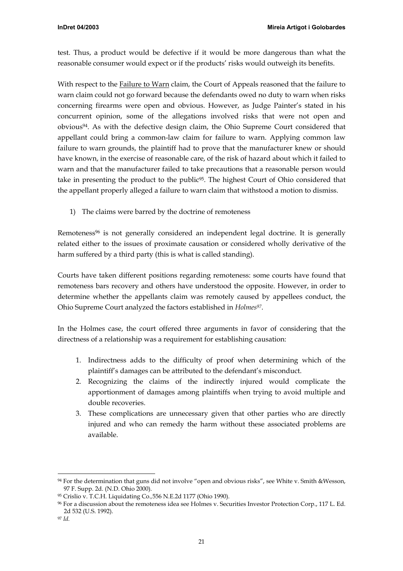test. Thus, a product would be defective if it would be more dangerous than what the reasonable consumer would expect or if the products' risks would outweigh its benefits.

With respect to the Failure to Warn claim, the Court of Appeals reasoned that the failure to warn claim could not go forward because the defendants owed no duty to warn when risks concerning firearms were open and obvious. However, as Judge Painter's stated in his concurrent opinion, some of the allegations involved risks that were not open and obviou[s94.](#page-20-0) As with the defective design claim, the Ohio Supreme Court considered that appellant could bring a common-law claim for failure to warn. Applying common law failure to warn grounds, the plaintiff had to prove that the manufacturer knew or should have known, in the exercise of reasonable care, of the risk of hazard about which it failed to warn and that the manufacturer failed to take precautions that a reasonable person would take in presenting the product to the public<sup>95</sup>. The highest Court of Ohio considered that the appellant properly alleged a failure to warn claim that withstood a motion to dismiss.

1) The claims were barred by the doctrine of remoteness

Remoteness<sup>96</sup> is not generally considered an independent legal doctrine. It is generally related either to the issues of proximate causation or considered wholly derivative of the harm suffered by a third party (this is what is called standing).

Courts have taken different positions regarding remoteness: some courts have found that remoteness bars recovery and others have understood the opposite. However, in order to determine whether the appellants claim was remotely caused by appellees conduct, the Ohio Supreme Court analyzed the factors established in *Holme[s97](#page-20-3)*.

In the Holmes case, the court offered three arguments in favor of considering that the directness of a relationship was a requirement for establishing causation:

- 1. Indirectness adds to the difficulty of proof when determining which of the plaintiff's damages can be attributed to the defendant's misconduct.
- 2. Recognizing the claims of the indirectly injured would complicate the apportionment of damages among plaintiffs when trying to avoid multiple and double recoveries.
- 3. These complications are unnecessary given that other parties who are directly injured and who can remedy the harm without these associated problems are available.

<span id="page-20-0"></span> <sup>94</sup> For the determination that guns did not involve "open and obvious risks", see White v. Smith &Wesson, 97 F. Supp. 2d. (N.D. Ohio 2000).

<span id="page-20-1"></span><sup>95</sup> Crislio v. T.C.H. Liquidating Co.*,*556 N.E.2d 1177 (Ohio 1990).

<span id="page-20-2"></span><sup>96</sup> For a discussion about the remoteness idea see Holmes v. Securities Investor Protection Corp., 117 L. Ed. 2d 532 (U.S. 1992).

<span id="page-20-3"></span><sup>97</sup> *Id.*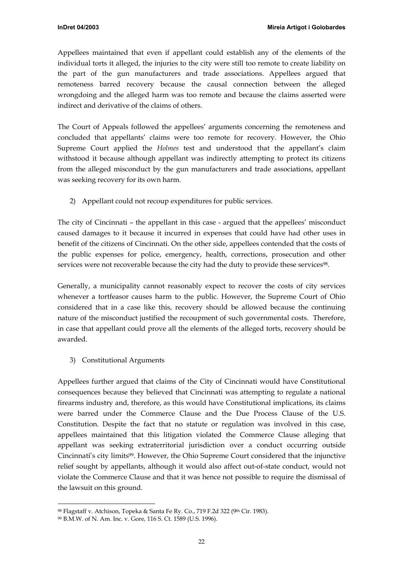Appellees maintained that even if appellant could establish any of the elements of the individual torts it alleged, the injuries to the city were still too remote to create liability on the part of the gun manufacturers and trade associations. Appellees argued that remoteness barred recovery because the causal connection between the alleged wrongdoing and the alleged harm was too remote and because the claims asserted were indirect and derivative of the claims of others.

The Court of Appeals followed the appellees' arguments concerning the remoteness and concluded that appellants' claims were too remote for recovery. However, the Ohio Supreme Court applied the *Holmes* test and understood that the appellant's claim withstood it because although appellant was indirectly attempting to protect its citizens from the alleged misconduct by the gun manufacturers and trade associations, appellant was seeking recovery for its own harm.

2) Appellant could not recoup expenditures for public services.

The city of Cincinnati – the appellant in this case - argued that the appellees' misconduct caused damages to it because it incurred in expenses that could have had other uses in benefit of the citizens of Cincinnati. On the other side, appellees contended that the costs of the public expenses for police, emergency, health, corrections, prosecution and other services were not recoverable because the city had the duty to provide these services<sup>98</sup>.

Generally, a municipality cannot reasonably expect to recover the costs of city services whenever a tortfeasor causes harm to the public. However, the Supreme Court of Ohio considered that in a case like this, recovery should be allowed because the continuing nature of the misconduct justified the recoupment of such governmental costs. Therefore, in case that appellant could prove all the elements of the alleged torts, recovery should be awarded.

3) Constitutional Arguments

Appellees further argued that claims of the City of Cincinnati would have Constitutional consequences because they believed that Cincinnati was attempting to regulate a national firearms industry and, therefore, as this would have Constitutional implications, its claims were barred under the Commerce Clause and the Due Process Clause of the U.S. Constitution. Despite the fact that no statute or regulation was involved in this case, appellees maintained that this litigation violated the Commerce Clause alleging that appellant was seeking extraterritorial jurisdiction over a conduct occurring outside Cincinnati's city limit[s99.](#page-21-1) However, the Ohio Supreme Court considered that the injunctive relief sought by appellants, although it would also affect out-of-state conduct, would not violate the Commerce Clause and that it was hence not possible to require the dismissal of the lawsuit on this ground.

<span id="page-21-0"></span><sup>98</sup> Flagstaff v. Atchison, Topeka & Santa Fe Ry. Co., 719 F.2d 322 (9th Cir. 1983).

<span id="page-21-1"></span><sup>99</sup> B.M.W. of N. Am. Inc. v. Gore*,* 116 S. Ct. 1589 (U.S. 1996).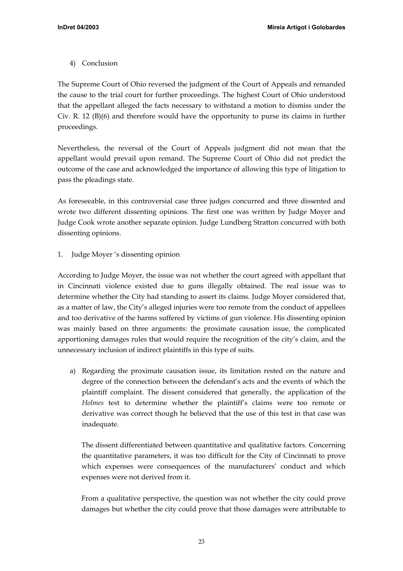<span id="page-22-0"></span>4) Conclusion

The Supreme Court of Ohio reversed the judgment of the Court of Appeals and remanded the cause to the trial court for further proceedings. The highest Court of Ohio understood that the appellant alleged the facts necessary to withstand a motion to dismiss under the Civ. R. 12 (B)(6) and therefore would have the opportunity to purse its claims in further proceedings.

Nevertheless, the reversal of the Court of Appeals judgment did not mean that the appellant would prevail upon remand. The Supreme Court of Ohio did not predict the outcome of the case and acknowledged the importance of allowing this type of litigation to pass the pleadings state.

As foreseeable, in this controversial case three judges concurred and three dissented and wrote two different dissenting opinions. The first one was written by Judge Moyer and Judge Cook wrote another separate opinion. Judge Lundberg Stratton concurred with both dissenting opinions.

1. Judge Moyer 's dissenting opinion

According to Judge Moyer, the issue was not whether the court agreed with appellant that in Cincinnati violence existed due to guns illegally obtained. The real issue was to determine whether the City had standing to assert its claims. Judge Moyer considered that, as a matter of law, the City's alleged injuries were too remote from the conduct of appellees and too derivative of the harms suffered by victims of gun violence. His dissenting opinion was mainly based on three arguments: the proximate causation issue, the complicated apportioning damages rules that would require the recognition of the city's claim, and the unnecessary inclusion of indirect plaintiffs in this type of suits.

a) Regarding the proximate causation issue, its limitation rested on the nature and degree of the connection between the defendant's acts and the events of which the plaintiff complaint. The dissent considered that generally, the application of the *Holmes* test to determine whether the plaintiff's claims were too remote or derivative was correct though he believed that the use of this test in that case was inadequate.

The dissent differentiated between quantitative and qualitative factors. Concerning the quantitative parameters, it was too difficult for the City of Cincinnati to prove which expenses were consequences of the manufacturers' conduct and which expenses were not derived from it.

From a qualitative perspective, the question was not whether the city could prove damages but whether the city could prove that those damages were attributable to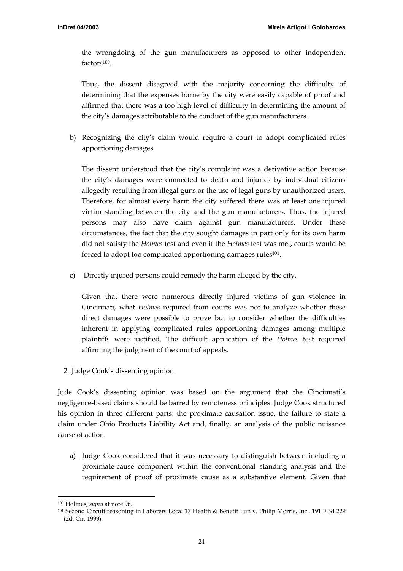the wrongdoing of the gun manufacturers as opposed to other independent factors[100.](#page-23-0) 

Thus, the dissent disagreed with the majority concerning the difficulty of determining that the expenses borne by the city were easily capable of proof and affirmed that there was a too high level of difficulty in determining the amount of the city's damages attributable to the conduct of the gun manufacturers.

b) Recognizing the city's claim would require a court to adopt complicated rules apportioning damages.

The dissent understood that the city's complaint was a derivative action because the city's damages were connected to death and injuries by individual citizens allegedly resulting from illegal guns or the use of legal guns by unauthorized users. Therefore, for almost every harm the city suffered there was at least one injured victim standing between the city and the gun manufacturers. Thus, the injured persons may also have claim against gun manufacturers. Under these circumstances, the fact that the city sought damages in part only for its own harm did not satisfy the *Holmes* test and even if the *Holmes* test was met, courts would be forced to adopt too complicated apportioning damages rules<sup>101</sup>.

c) Directly injured persons could remedy the harm alleged by the city.

Given that there were numerous directly injured victims of gun violence in Cincinnati, what *Holmes* required from courts was not to analyze whether these direct damages were possible to prove but to consider whether the difficulties inherent in applying complicated rules apportioning damages among multiple plaintiffs were justified. The difficult application of the *Holmes* test required affirming the judgment of the court of appeals.

2. Judge Cook's dissenting opinion.

Jude Cook's dissenting opinion was based on the argument that the Cincinnati's negligence-based claims should be barred by remoteness principles. Judge Cook structured his opinion in three different parts: the proximate causation issue, the failure to state a claim under Ohio Products Liability Act and, finally, an analysis of the public nuisance cause of action.

a) Judge Cook considered that it was necessary to distinguish between including a proximate-cause component within the conventional standing analysis and the requirement of proof of proximate cause as a substantive element. Given that

<span id="page-23-0"></span> <sup>100</sup> Holmes*, supra* at note 96.

<span id="page-23-1"></span><sup>101</sup> Second Circuit reasoning in Laborers Local 17 Health & Benefit Fun v. Philip Morris, Inc.*,* 191 F.3d 229 (2d. Cir. 1999).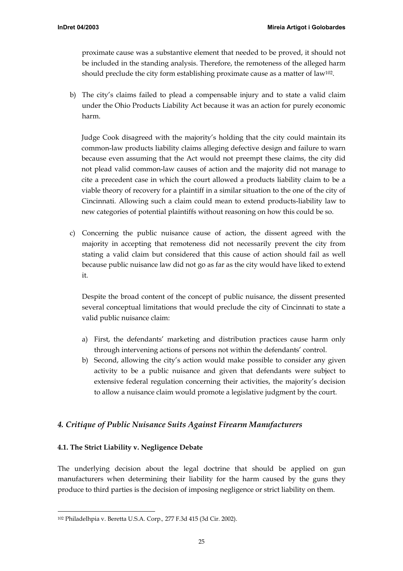<span id="page-24-0"></span>proximate cause was a substantive element that needed to be proved, it should not be included in the standing analysis. Therefore, the remoteness of the alleged harm should preclude the city form establishing proximate cause as a matter of law<sup>102</sup>.

b) The city's claims failed to plead a compensable injury and to state a valid claim under the Ohio Products Liability Act because it was an action for purely economic harm.

Judge Cook disagreed with the majority's holding that the city could maintain its common-law products liability claims alleging defective design and failure to warn because even assuming that the Act would not preempt these claims, the city did not plead valid common-law causes of action and the majority did not manage to cite a precedent case in which the court allowed a products liability claim to be a viable theory of recovery for a plaintiff in a similar situation to the one of the city of Cincinnati. Allowing such a claim could mean to extend products-liability law to new categories of potential plaintiffs without reasoning on how this could be so.

c) Concerning the public nuisance cause of action, the dissent agreed with the majority in accepting that remoteness did not necessarily prevent the city from stating a valid claim but considered that this cause of action should fail as well because public nuisance law did not go as far as the city would have liked to extend it.

Despite the broad content of the concept of public nuisance, the dissent presented several conceptual limitations that would preclude the city of Cincinnati to state a valid public nuisance claim:

- a) First, the defendants' marketing and distribution practices cause harm only through intervening actions of persons not within the defendants' control.
- b) Second, allowing the city's action would make possible to consider any given activity to be a public nuisance and given that defendants were subject to extensive federal regulation concerning their activities, the majority's decision to allow a nuisance claim would promote a legislative judgment by the court.

# *4. Critique of Public Nuisance Suits Against Firearm Manufacturers*

## **4.1. The Strict Liability v. Negligence Debate**

The underlying decision about the legal doctrine that should be applied on gun manufacturers when determining their liability for the harm caused by the guns they produce to third parties is the decision of imposing negligence or strict liability on them.

<span id="page-24-1"></span> <sup>102</sup> Philadelhpia v. Beretta U.S.A. Corp.*,* 277 F.3d 415 (3d Cir. 2002).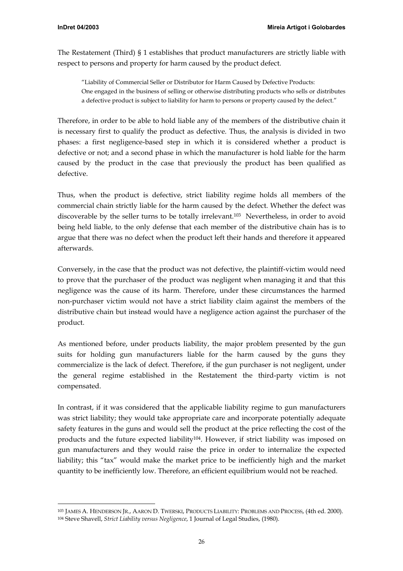The Restatement (Third) § 1 establishes that product manufacturers are strictly liable with respect to persons and property for harm caused by the product defect.

"Liability of Commercial Seller or Distributor for Harm Caused by Defective Products: One engaged in the business of selling or otherwise distributing products who sells or distributes a defective product is subject to liability for harm to persons or property caused by the defect."

Therefore, in order to be able to hold liable any of the members of the distributive chain it is necessary first to qualify the product as defective. Thus, the analysis is divided in two phases: a first negligence-based step in which it is considered whether a product is defective or not; and a second phase in which the manufacturer is hold liable for the harm caused by the product in the case that previously the product has been qualified as defective.

Thus, when the product is defective, strict liability regime holds all members of the commercial chain strictly liable for the harm caused by the defect. Whether the defect was discoverable by the seller turns to be totally irrelevant[.103](#page-25-0) Nevertheless, in order to avoid being held liable, to the only defense that each member of the distributive chain has is to argue that there was no defect when the product left their hands and therefore it appeared afterwards.

Conversely, in the case that the product was not defective, the plaintiff-victim would need to prove that the purchaser of the product was negligent when managing it and that this negligence was the cause of its harm. Therefore, under these circumstances the harmed non-purchaser victim would not have a strict liability claim against the members of the distributive chain but instead would have a negligence action against the purchaser of the product.

As mentioned before, under products liability, the major problem presented by the gun suits for holding gun manufacturers liable for the harm caused by the guns they commercialize is the lack of defect. Therefore, if the gun purchaser is not negligent, under the general regime established in the Restatement the third-party victim is not compensated.

In contrast, if it was considered that the applicable liability regime to gun manufacturers was strict liability; they would take appropriate care and incorporate potentially adequate safety features in the guns and would sell the product at the price reflecting the cost of the products and the future expected liability[104.](#page-25-1) However, if strict liability was imposed on gun manufacturers and they would raise the price in order to internalize the expected liability; this "tax" would make the market price to be inefficiently high and the market quantity to be inefficiently low. Therefore, an efficient equilibrium would not be reached.

<span id="page-25-1"></span><span id="page-25-0"></span> <sup>103</sup> JAMES A. HENDERSON JR., AARON D. TWERSKI, PRODUCTS LIABILITY: PROBLEMS AND PROCESS, (4th ed. 2000). 104 Steve Shavell, *Strict Liability versus Negligence*, 1 Journal of Legal Studies, (1980).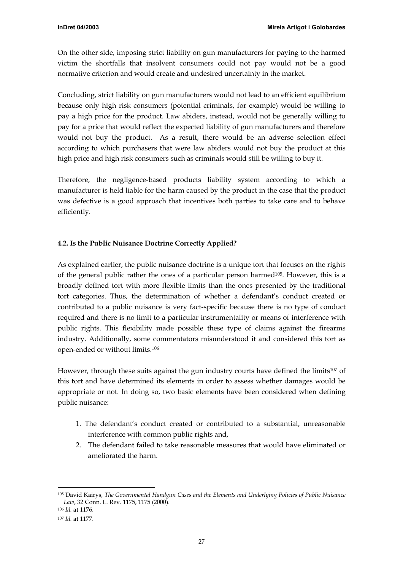<span id="page-26-0"></span>On the other side, imposing strict liability on gun manufacturers for paying to the harmed victim the shortfalls that insolvent consumers could not pay would not be a good normative criterion and would create and undesired uncertainty in the market.

Concluding, strict liability on gun manufacturers would not lead to an efficient equilibrium because only high risk consumers (potential criminals, for example) would be willing to pay a high price for the product. Law abiders, instead, would not be generally willing to pay for a price that would reflect the expected liability of gun manufacturers and therefore would not buy the product. As a result, there would be an adverse selection effect according to which purchasers that were law abiders would not buy the product at this high price and high risk consumers such as criminals would still be willing to buy it.

Therefore, the negligence-based products liability system according to which a manufacturer is held liable for the harm caused by the product in the case that the product was defective is a good approach that incentives both parties to take care and to behave efficiently.

## **4.2. Is the Public Nuisance Doctrine Correctly Applied?**

As explained earlier, the public nuisance doctrine is a unique tort that focuses on the rights of the general public rather the ones of a particular person harme[d105.](#page-26-1) However, this is a broadly defined tort with more flexible limits than the ones presented by the traditional tort categories. Thus, the determination of whether a defendant's conduct created or contributed to a public nuisance is very fact-specific because there is no type of conduct required and there is no limit to a particular instrumentality or means of interference with public rights. This flexibility made possible these type of claims against the firearms industry. Additionally, some commentators misunderstood it and considered this tort as open-ended or without limits[.106](#page-26-2) 

However, through these suits against the gun industry courts have defined the limits[107](#page-26-3) of this tort and have determined its elements in order to assess whether damages would be appropriate or not. In doing so, two basic elements have been considered when defining public nuisance:

- 1. The defendant's conduct created or contributed to a substantial, unreasonable interference with common public rights and,
- 2. The defendant failed to take reasonable measures that would have eliminated or ameliorated the harm.

<span id="page-26-1"></span> <sup>105</sup> David Kairys, *The Governmental Handgun Cases and the Elements and Underlying Policies of Public Nuisance Law*, 32 Conn. L. Rev. 1175, 1175 (2000).

<span id="page-26-2"></span><sup>106</sup> *Id.* at 1176.

<span id="page-26-3"></span><sup>107</sup> *Id.* at 1177.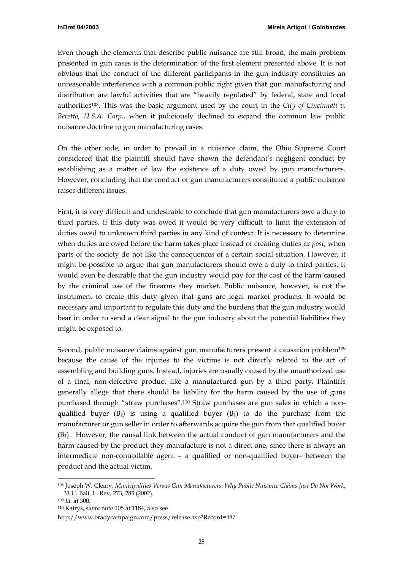Even though the elements that describe public nuisance are still broad, the main problem presented in gun cases is the determination of the first element presented above. It is not obvious that the conduct of the different participants in the gun industry constitutes an unreasonable interference with a common public right given that gun manufacturing and distribution are lawful activities that are "heavily regulated" by federal, state and local authoritie[s108.](#page-27-0) This was the basic argument used by the court in the *City of Cincinnati v. Beretta, U.S.A. Corp.*, when it judiciously declined to expand the common law public nuisance doctrine to gun manufacturing cases.

On the other side, in order to prevail in a nuisance claim, the Ohio Supreme Court considered that the plaintiff should have shown the defendant's negligent conduct by establishing as a matter of law the existence of a duty owed by gun manufacturers. However, concluding that the conduct of gun manufacturers constituted a public nuisance raises different issues.

First, it is very difficult and undesirable to conclude that gun manufacturers owe a duty to third parties. If this duty was owed it would be very difficult to limit the extension of duties owed to unknown third parties in any kind of context. It is necessary to determine when duties are owed before the harm takes place instead of creating duties *ex post*, when parts of the society do not like the consequences of a certain social situation. However, it might be possible to argue that gun manufacturers should owe a duty to third parties. It would even be desirable that the gun industry would pay for the cost of the harm caused by the criminal use of the firearms they market. Public nuisance, however, is not the instrument to create this duty given that guns are legal market products. It would be necessary and important to regulate this duty and the burdens that the gun industry would bear in order to send a clear signal to the gun industry about the potential liabilities they might be exposed to.

Second, public nuisance claims against gun manufacturers present a causation problem<sup>109</sup> because the cause of the injuries to the victims is not directly related to the act of assembling and building guns. Instead, injuries are usually caused by the unauthorized use of a final, non-defective product like a manufactured gun by a third party. Plaintiffs generally allege that there should be liability for the harm caused by the use of guns purchased through "straw purchases"[.110](#page-27-2) Straw purchases are gun sales in which a nonqualified buyer  $(B_2)$  is using a qualified buyer  $(B_1)$  to do the purchase from the manufacturer or gun seller in order to afterwards acquire the gun from that qualified buyer  $(B<sub>1</sub>)$ . However, the causal link between the actual conduct of gun manufacturers and the harm caused by the product they manufacture is not a direct one, since there is always an intermediate non-controllable agent – a qualified or non-qualified buyer- between the product and the actual victim.

<span id="page-27-0"></span> <sup>108</sup> Joseph W. Cleary, *Municipalities Versus Gun Manufacturers: Why Public Nuisance Claims Just Do Not Work*, 31 U. Balt. L. Rev. 273, 285 (2002).

<span id="page-27-1"></span><sup>109</sup> *Id.* at 300.

<span id="page-27-2"></span><sup>110</sup> Kairys, *supra* note 105 at 1184, also see

<http://www.bradycampaign.com/press/release.asp?Record=487>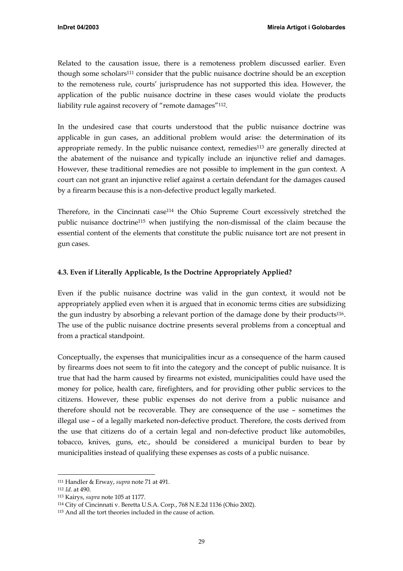<span id="page-28-0"></span>Related to the causation issue, there is a remoteness problem discussed earlier. Even though some scholar[s111](#page-28-1) consider that the public nuisance doctrine should be an exception to the remoteness rule, courts' jurisprudence has not supported this idea. However, the application of the public nuisance doctrine in these cases would violate the products liability rule against recovery of "remote damages"<sup>112</sup>.

In the undesired case that courts understood that the public nuisance doctrine was applicable in gun cases, an additional problem would arise: the determination of its appropriate remedy. In the public nuisance context, remedies<sup>113</sup> are generally directed at the abatement of the nuisance and typically include an injunctive relief and damages. However, these traditional remedies are not possible to implement in the gun context. A court can not grant an injunctive relief against a certain defendant for the damages caused by a firearm because this is a non-defective product legally marketed.

Therefore, in the Cincinnati case[114](#page-28-4) the Ohio Supreme Court excessively stretched the public nuisance doctrin[e115](#page-28-5) when justifying the non-dismissal of the claim because the essential content of the elements that constitute the public nuisance tort are not present in gun cases.

# **4.3. Even if Literally Applicable, Is the Doctrine Appropriately Applied?**

Even if the public nuisance doctrine was valid in the gun context, it would not be appropriately applied even when it is argued that in economic terms cities are subsidizing the gun industry by absorbing a relevant portion of the damage done by their products<sup>116</sup>. The use of the public nuisance doctrine presents several problems from a conceptual and from a practical standpoint.

Conceptually, the expenses that municipalities incur as a consequence of the harm caused by firearms does not seem to fit into the category and the concept of public nuisance. It is true that had the harm caused by firearms not existed, municipalities could have used the money for police, health care, firefighters, and for providing other public services to the citizens. However, these public expenses do not derive from a public nuisance and therefore should not be recoverable. They are consequence of the use – sometimes the illegal use – of a legally marketed non-defective product. Therefore, the costs derived from the use that citizens do of a certain legal and non-defective product like automobiles, tobacco, knives, guns, etc., should be considered a municipal burden to bear by municipalities instead of qualifying these expenses as costs of a public nuisance.

<span id="page-28-1"></span> <sup>111</sup> Handler & Erway, *supra* note 71 at 491.

<span id="page-28-6"></span><span id="page-28-2"></span><sup>112</sup> *Id.* at 490.

<span id="page-28-3"></span><sup>113</sup> Kairys, *supra* note 105 at 1177.

<span id="page-28-4"></span><sup>114</sup> City of Cincinnati v. Beretta U.S.A. Corp*.*, 768 N.E.2d 1136 (Ohio 2002).

<span id="page-28-5"></span><sup>115</sup> And all the tort theories included in the cause of action.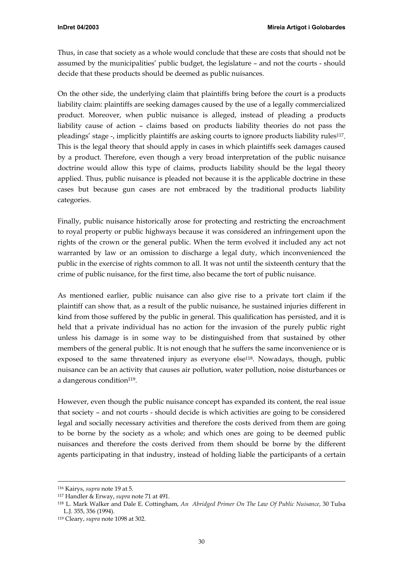Thus, in case that society as a whole would conclude that these are costs that should not be assumed by the municipalities' public budget, the legislature – and not the courts - should decide that these products should be deemed as public nuisances.

On the other side, the underlying claim that plaintiffs bring before the court is a products liability claim: plaintiffs are seeking damages caused by the use of a legally commercialized product. Moreover, when public nuisance is alleged, instead of pleading a products liability cause of action – claims based on products liability theories do not pass the pleadings' stage -, implicitly plaintiffs are asking courts to ignore products liability rule[s117.](#page-29-0) This is the legal theory that should apply in cases in which plaintiffs seek damages caused by a product. Therefore, even though a very broad interpretation of the public nuisance doctrine would allow this type of claims, products liability should be the legal theory applied. Thus, public nuisance is pleaded not because it is the applicable doctrine in these cases but because gun cases are not embraced by the traditional products liability categories.

Finally, public nuisance historically arose for protecting and restricting the encroachment to royal property or public highways because it was considered an infringement upon the rights of the crown or the general public. When the term evolved it included any act not warranted by law or an omission to discharge a legal duty, which inconvenienced the public in the exercise of rights common to all. It was not until the sixteenth century that the crime of public nuisance, for the first time, also became the tort of public nuisance.

As mentioned earlier, public nuisance can also give rise to a private tort claim if the plaintiff can show that, as a result of the public nuisance, he sustained injuries different in kind from those suffered by the public in general. This qualification has persisted, and it is held that a private individual has no action for the invasion of the purely public right unless his damage is in some way to be distinguished from that sustained by other members of the general public. It is not enough that he suffers the same inconvenience or is exposed to the same threatened injury as everyone else<sup>118</sup>. Nowadays, though, public nuisance can be an activity that causes air pollution, water pollution, noise disturbances or a dangerous condition<sup>119</sup>.

However, even though the public nuisance concept has expanded its content, the real issue that society – and not courts - should decide is which activities are going to be considered legal and socially necessary activities and therefore the costs derived from them are going to be borne by the society as a whole; and which ones are going to be deemed public nuisances and therefore the costs derived from them should be borne by the different agents participating in that industry, instead of holding liable the participants of a certain

 <sup>116</sup> Kairys, *supra* note 19 at 5.

<span id="page-29-0"></span><sup>117</sup> Handler & Erway, *supra* note 71 at 491.

<span id="page-29-1"></span><sup>118</sup> L. Mark Walker and Dale E. Cottingham, *An Abridged Primer On The Law Of Public Nuisance*, 30 Tulsa L.J. 355, 356 (1994).

<span id="page-29-2"></span><sup>119</sup> Cleary, *supra* note 1098 at 302.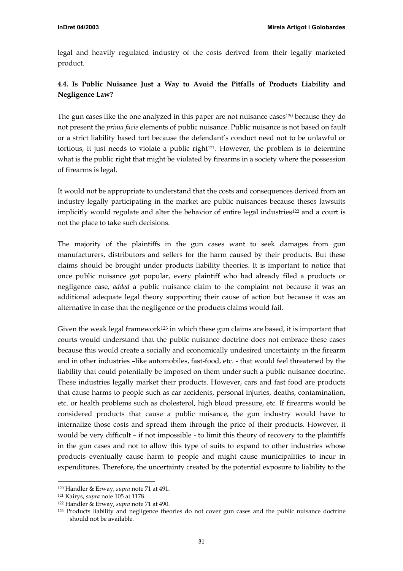<span id="page-30-0"></span>legal and heavily regulated industry of the costs derived from their legally marketed product.

# **4.4. Is Public Nuisance Just a Way to Avoid the Pitfalls of Products Liability and Negligence Law?**

The gun cases like the one analyzed in this paper are not nuisance cases<sup>120</sup> because they do not present the *prima facie* elements of public nuisance. Public nuisance is not based on fault or a strict liability based tort because the defendant's conduct need not to be unlawful or tortious, it just needs to violate a public right $121$ . However, the problem is to determine what is the public right that might be violated by firearms in a society where the possession of firearms is legal.

It would not be appropriate to understand that the costs and consequences derived from an industry legally participating in the market are public nuisances because theses lawsuits implicitly would regulate and alter the behavior of entire legal industries<sup>122</sup> and a court is not the place to take such decisions.

The majority of the plaintiffs in the gun cases want to seek damages from gun manufacturers, distributors and sellers for the harm caused by their products. But these claims should be brought under products liability theories. It is important to notice that once public nuisance got popular, every plaintiff who had already filed a products or negligence case, *added* a public nuisance claim to the complaint not because it was an additional adequate legal theory supporting their cause of action but because it was an alternative in case that the negligence or the products claims would fail.

Given the weak legal framework<sup>123</sup> in which these gun claims are based, it is important that courts would understand that the public nuisance doctrine does not embrace these cases because this would create a socially and economically undesired uncertainty in the firearm and in other industries –like automobiles, fast-food, etc. - that would feel threatened by the liability that could potentially be imposed on them under such a public nuisance doctrine. These industries legally market their products. However, cars and fast food are products that cause harms to people such as car accidents, personal injuries, deaths, contamination, etc. or health problems such as cholesterol, high blood pressure, etc. If firearms would be considered products that cause a public nuisance, the gun industry would have to internalize those costs and spread them through the price of their products. However, it would be very difficult – if not impossible - to limit this theory of recovery to the plaintiffs in the gun cases and not to allow this type of suits to expand to other industries whose products eventually cause harm to people and might cause municipalities to incur in expenditures. Therefore, the uncertainty created by the potential exposure to liability to the

<span id="page-30-1"></span> <sup>120</sup> Handler & Erway, *supra* note 71 at 491.

<span id="page-30-2"></span><sup>121</sup> Kairys, *supra* note 105 at 1178.

<span id="page-30-3"></span><sup>122</sup> Handler & Erway, *supra* note 71 at 490.

<span id="page-30-4"></span><sup>123</sup> Products liability and negligence theories do not cover gun cases and the public nuisance doctrine should not be available.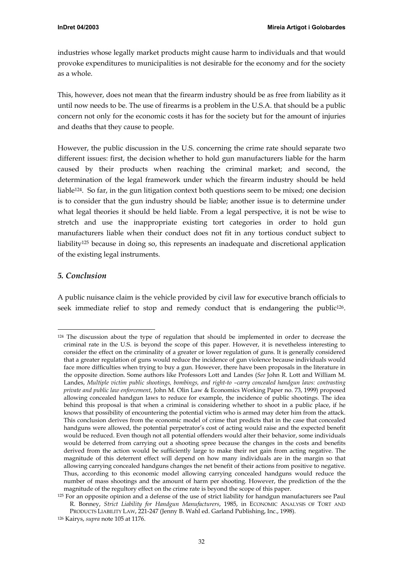<span id="page-31-0"></span>industries whose legally market products might cause harm to individuals and that would provoke expenditures to municipalities is not desirable for the economy and for the society as a whole.

This, however, does not mean that the firearm industry should be as free from liability as it until now needs to be. The use of firearms is a problem in the U.S.A. that should be a public concern not only for the economic costs it has for the society but for the amount of injuries and deaths that they cause to people.

However, the public discussion in the U.S. concerning the crime rate should separate two different issues: first, the decision whether to hold gun manufacturers liable for the harm caused by their products when reaching the criminal market; and second, the determination of the legal framework under which the firearm industry should be held liabl[e124.](#page-31-1) So far, in the gun litigation context both questions seem to be mixed; one decision is to consider that the gun industry should be liable; another issue is to determine under what legal theories it should be held liable. From a legal perspective, it is not be wise to stretch and use the inappropriate existing tort categories in order to hold gun manufacturers liable when their conduct does not fit in any tortious conduct subject to liabilit[y125](#page-31-2) because in doing so, this represents an inadequate and discretional application of the existing legal instruments.

## *5. Conclusion*

A public nuisance claim is the vehicle provided by civil law for executive branch officials to seek immediate relief to stop and remedy conduct that is endangering the public<sup>126</sup>.

<span id="page-31-1"></span><sup>&</sup>lt;sup>124</sup> The discussion about the type of regulation that should be implemented in order to decrease the criminal rate in the U.S. is beyond the scope of this paper. However, it is nevetheless interesting to consider the effect on the criminality of a greater or lower regulation of guns. It is generally considered that a greater regulation of guns would reduce the incidence of gun violence because individuals would face more difficulties when trying to buy a gun. However, there have been proposals in the literature in the opposite direction. Some authors like Professors Lott and Landes (*See* John R. Lott and William M. Landes, *Multiple victim public shootings, bombings, and right-to –carry concealed handgun laws: contrasting private and public law enforcement*, John M. Olin Law & Economics Working Paper no. 73, 1999) proposed allowing concealed handgun laws to reduce for example, the incidence of public shootings. The idea behind this proposal is that when a criminal is considering whether to shoot in a public place, if he knows that possibility of encountering the potential victim who is armed may deter him from the attack. This conclusion derives from the economic model of crime that predicts that in the case that concealed handguns were allowed, the potential perpetrator's cost of acting would raise and the expected benefit would be reduced. Even though not all potential offenders would alter their behavior, some individuals would be deterred from carrying out a shooting spree because the changes in the costs and benefits derived from the action would be sufficiently large to make their net gain from acting negative. The magnitude of this deterrent effect will depend on how many individuals are in the margin so that allowing carrying concealed handguns changes the net benefit of their actions from positive to negative. Thus, according to this economic model allowing carrying concealed handguns would reduce the number of mass shootings and the amount of harm per shooting. However, the prediction of the the magnitude of the regultory effect on the crime rate is beyond the scope of this paper.

<span id="page-31-2"></span><sup>&</sup>lt;sup>125</sup> For an opposite opinion and a defense of the use of strict liability for handgun manufacturers see Paul R. Bonney, *Strict Liability for Handgun Manufacturers*, 1985, in ECONOMIC ANALYSIS OF TORT AND PRODUCTS LIABILITY LAW, 221-247 (Jenny B. Wahl ed. Garland Publishing, Inc., 1998).

<span id="page-31-3"></span><sup>126</sup> Kairys, *supra* note 105 at 1176.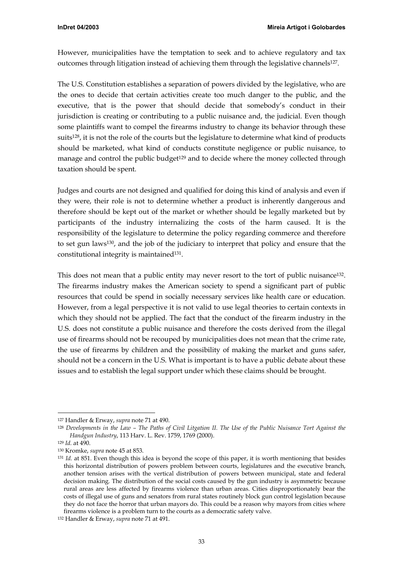However, municipalities have the temptation to seek and to achieve regulatory and tax outcomes through litigation instead of achieving them through the legislative channels<sup>127</sup>.

The U.S. Constitution establishes a separation of powers divided by the legislative, who are the ones to decide that certain activities create too much danger to the public, and the executive, that is the power that should decide that somebody's conduct in their jurisdiction is creating or contributing to a public nuisance and, the judicial. Even though some plaintiffs want to compel the firearms industry to change its behavior through these suits<sup>128</sup>, it is not the role of the courts but the legislature to determine what kind of products should be marketed, what kind of conducts constitute negligence or public nuisance, to manage and control the public budget<sup>129</sup> and to decide where the money collected through taxation should be spent.

Judges and courts are not designed and qualified for doing this kind of analysis and even if they were, their role is not to determine whether a product is inherently dangerous and therefore should be kept out of the market or whether should be legally marketed but by participants of the industry internalizing the costs of the harm caused. It is the responsibility of the legislature to determine the policy regarding commerce and therefore to set gun laws[130,](#page-32-3) and the job of the judiciary to interpret that policy and ensure that the constitutional integrity is maintained<sup>131</sup>.

This does not mean that a public entity may never resort to the tort of public nuisance<sup>132</sup>. The firearms industry makes the American society to spend a significant part of public resources that could be spend in socially necessary services like health care or education. However, from a legal perspective it is not valid to use legal theories to certain contexts in which they should not be applied. The fact that the conduct of the firearm industry in the U.S. does not constitute a public nuisance and therefore the costs derived from the illegal use of firearms should not be recouped by municipalities does not mean that the crime rate, the use of firearms by children and the possibility of making the market and guns safer, should not be a concern in the U.S. What is important is to have a public debate about these issues and to establish the legal support under which these claims should be brought.

<span id="page-32-0"></span> <sup>127</sup> Handler & Erway, *supra* note 71 at 490.

<span id="page-32-1"></span><sup>128</sup> *Developments in the Law – The Paths of Civil Litgation II. The Use of the Public Nuisance Tort Against the Handgun Industry*, 113 Harv. L. Rev. 1759, 1769 (2000).

<span id="page-32-2"></span><sup>129</sup> *Id.* at 490.

<span id="page-32-3"></span><sup>130</sup> Kromke, *supra* note 45 at 853.

<span id="page-32-4"></span><sup>131</sup> *Id.* at 851. Even though this idea is beyond the scope of this paper, it is worth mentioning that besides this horizontal distribution of powers problem between courts, legislatures and the executive branch, another tension arises with the vertical distribution of powers between municipal, state and federal decision making. The distribution of the social costs caused by the gun industry is asymmetric because rural areas are less affected by firearms violence than urban areas. Cities disproportionately bear the costs of illegal use of guns and senators from rural states routinely block gun control legislation because they do not face the horror that urban mayors do. This could be a reason why mayors from cities where firearms violence is a problem turn to the courts as a democratic safety valve.

<span id="page-32-5"></span><sup>132</sup> Handler & Erway, *supra* note 71 at 491.